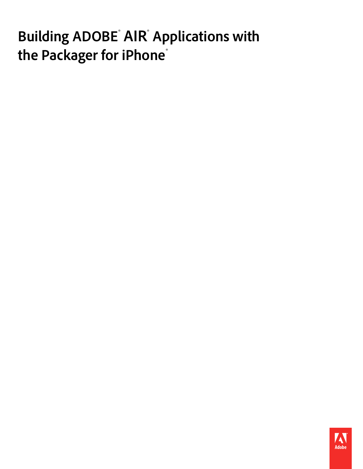# **Building ADOBE**® **AIR**® **Applications with** the Packager for iPhone<sup>®</sup>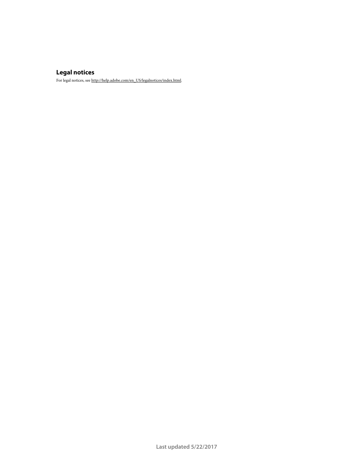### **Legal notices**

For legal notices, see [http://help.adobe.com/en\\_US/legalnotices/index.html.](http://help.adobe.com/en_US/legalnotices/index.html)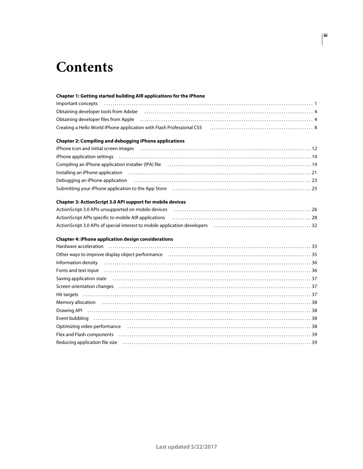# **Contents**

| Chapter 1: Getting started building AIR applications for the iPhone                                                                                                                                                            |
|--------------------------------------------------------------------------------------------------------------------------------------------------------------------------------------------------------------------------------|
|                                                                                                                                                                                                                                |
| Obtaining developer tools from Adobe (all accordination control and the control of the control of 4                                                                                                                            |
| Obtaining developer files from Apple (all accordination of the control of the state of the state of the state o                                                                                                                |
|                                                                                                                                                                                                                                |
| <b>Chapter 2: Compiling and debugging iPhone applications</b>                                                                                                                                                                  |
|                                                                                                                                                                                                                                |
|                                                                                                                                                                                                                                |
|                                                                                                                                                                                                                                |
| Installing an iPhone application (a) contained and contained and contained and increase and increase and increase $21$                                                                                                         |
|                                                                                                                                                                                                                                |
| Submitting your iPhone application to the App Store (and the content content content content and the 25                                                                                                                        |
| <b>Chapter 3: ActionScript 3.0 API support for mobile devices</b>                                                                                                                                                              |
| ActionScript 3.0 APIs unsupported on mobile devices (and contain accommodation contained and 26                                                                                                                                |
| ActionScript APIs specific to mobile AIR applications (a) match content content to the specific to mobile AIR applications (a) content content content and the specific to mobile AIR applications (a) and the set of the spec |
|                                                                                                                                                                                                                                |
| <b>Chapter 4: iPhone application design considerations</b>                                                                                                                                                                     |
|                                                                                                                                                                                                                                |
| Other ways to improve display object performance (educational content content content and 35                                                                                                                                   |
| $In formation density \label{thm:main} {\bf information density}$                                                                                                                                                              |
| Fonts and text input (1) in the continuum control of the control of the control of the control of the control of the control of the control of the control of the control of the control of the control of the control of the  |
| Saving application state (education contains) and a state of the state of the state of the state of the state o                                                                                                                |
| Screen orientation changes (and according contract and according to the state of the state of the state of the                                                                                                                 |

Hit targets [. . . . . . . . . . . . . . . . . . . . . . . . . . . . . . . . . . . . . . . . . . . . . . . . . . . . . . . . . . . . . . . . . . . . . . . . . . . . . . . . . . . . . . . . . . . . . . . . . . . . . . . . . . . . 37](#page-39-2) [Memory allocation . . . . . . . . . . . . . . . . . . . . . . . . . . . . . . . . . . . . . . . . . . . . . . . . . . . . . . . . . . . . . . . . . . . . . . . . . . . . . . . . . . . . . . . . . . . . . . . . . . . 38](#page-40-0) Drawing API [. . . . . . . . . . . . . . . . . . . . . . . . . . . . . . . . . . . . . . . . . . . . . . . . . . . . . . . . . . . . . . . . . . . . . . . . . . . . . . . . . . . . . . . . . . . . . . . . . . . . . . . . . . 38](#page-40-1) Event bubbling [. . . . . . . . . . . . . . . . . . . . . . . . . . . . . . . . . . . . . . . . . . . . . . . . . . . . . . . . . . . . . . . . . . . . . . . . . . . . . . . . . . . . . . . . . . . . . . . . . . . . . . . 38](#page-40-2) [Optimizing video performance . . . . . . . . . . . . . . . . . . . . . . . . . . . . . . . . . . . . . . . . . . . . . . . . . . . . . . . . . . . . . . . . . . . . . . . . . . . . . . . . . . . . . . . 38](#page-40-3) Flex and Flash components [. . . . . . . . . . . . . . . . . . . . . . . . . . . . . . . . . . . . . . . . . . . . . . . . . . . . . . . . . . . . . . . . . . . . . . . . . . . . . . . . . . . . . . . . . . . 39](#page-41-0) [Reducing application file size . . . . . . . . . . . . . . . . . . . . . . . . . . . . . . . . . . . . . . . . . . . . . . . . . . . . . . . . . . . . . . . . . . . . . . . . . . . . . . . . . . . . . . . . . 39](#page-41-1)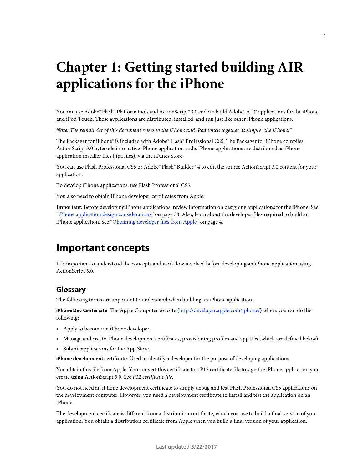# <span id="page-3-0"></span>**Chapter 1: Getting started building AIR applications for the iPhone**

You can use Adobe® Flash® Platform tools and ActionScript® 3.0 code to build Adobe® AIR® applications for the iPhone and iPod Touch. These applications are distributed, installed, and run just like other iPhone applications.

*Note: The remainder of this document refers to the iPhone and iPod touch together as simply "the iPhone."*

The Packager for iPhone® is included with Adobe® Flash® Professional CS5. The Packager for iPhone compiles ActionScript 3.0 bytecode into native iPhone application code. iPhone applications are distributed as iPhone application installer files (.ipa files), via the iTunes Store.

You can use Flash Professional CS5 or Adobe® Flash® Builder™ 4 to edit the source ActionScript 3.0 content for your application.

To develop iPhone applications, use Flash Professional CS5.

You also need to obtain iPhone developer certificates from Apple.

**Important:** Before developing iPhone applications, review information on designing applications for the iPhone. See ["iPhone application design considerations" on page](#page-35-2) 33. Also, learn about the developer files required to build an iPhone application. See ["Obtaining developer files from Apple" on page](#page-6-1) 4.

### <span id="page-3-1"></span>**Important concepts**

It is important to understand the concepts and workflow involved before developing an iPhone application using ActionScript 3.0.

#### <span id="page-3-2"></span>**Glossary**

The following terms are important to understand when building an iPhone application.

**iPhone Dev Center site** The Apple Computer website [\(http://developer.apple.com/iphone/\)](http://developer.apple.com/iphone/) where you can do the following:

- Apply to become an iPhone developer.
- Manage and create iPhone development certificates, provisioning profiles and app IDs (which are defined below).
- Submit applications for the App Store.

**iPhone development certificate** Used to identify a developer for the purpose of developing applications.

You obtain this file from Apple. You convert this certificate to a P12 certificate file to sign the iPhone application you create using ActionScript 3.0. See *P12 certificate file*.

You do not need an iPhone development certificate to simply debug and test Flash Professional CS5 applications on the development computer. However, you need a development certificate to install and test the application on an iPhone.

The development certificate is different from a distribution certificate, which you use to build a final version of your application. You obtain a distribution certificate from Apple when you build a final version of your application.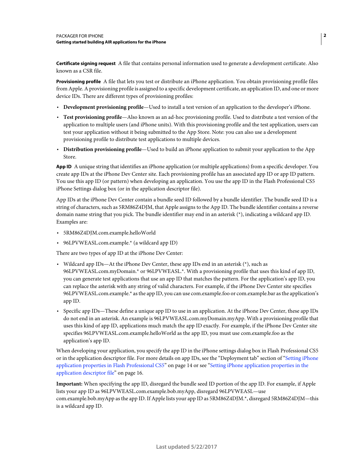**Certificate signing request** A file that contains personal information used to generate a development certificate. Also known as a CSR file.

**Provisioning profile** A file that lets you test or distribute an iPhone application. You obtain provisioning profile files from Apple. A provisioning profile is assigned to a specific development certificate, an application ID, and one or more device IDs. There are different types of provisioning profiles:

- **Development provisioning profile**—Used to install a test version of an application to the developer's iPhone.
- **Test provisioning profile**—Also known as an ad-hoc provisioning profile. Used to distribute a test version of the application to multiple users (and iPhone units). With this provisioning profile and the test application, users can test your application without it being submitted to the App Store. Note: you can also use a development provisioning profile to distribute test applications to multiple devices.
- **Distribution provisioning profile**—Used to build an iPhone application to submit your application to the App Store.

**App ID** A unique string that identifies an iPhone application (or multiple applications) from a specific developer. You create app IDs at the iPhone Dev Center site. Each provisioning profile has an associated app ID or app ID pattern. You use this app ID (or pattern) when developing an application. You use the app ID in the Flash Professional CS5 iPhone Settings dialog box (or in the application descriptor file).

App IDs at the iPhone Dev Center contain a bundle seed ID followed by a bundle identifier. The bundle seed ID is a string of characters, such as 5RM86Z4DJM, that Apple assigns to the App ID. The bundle identifier contains a reverse domain name string that you pick. The bundle identifier may end in an asterisk (\*), indicating a wildcard app ID. Examples are:

- 5RM86Z4DJM.com.example.helloWorld
- 96LPVWEASL.com.example.\* (a wildcard app ID)

There are two types of app ID at the iPhone Dev Center:

- Wildcard app IDs—At the iPhone Dev Center, these app IDs end in an asterisk (\*), such as 96LPVWEASL.com.myDomain.\* or 96LPVWEASL.\*. With a provisioning profile that uses this kind of app ID, you can generate test applications that use an app ID that matches the pattern. For the application's app ID, you can replace the asterisk with any string of valid characters. For example, if the iPhone Dev Center site specifies 96LPVWEASL.com.example.\* as the app ID, you can use com.example.foo or com.example.bar as the application's app ID.
- Specific app IDs—These define a unique app ID to use in an application. At the iPhone Dev Center, these app IDs do not end in an asterisk. An example is 96LPVWEASL.com.myDomain.myApp. With a provisioning profile that uses this kind of app ID, applications much match the app ID exactly. For example, if the iPhone Dev Center site specifies 96LPVWEASL.com.example.helloWorld as the app ID, you must use com.example.foo as the application's app ID.

When developing your application, you specify the app ID in the iPhone settings dialog box in Flash Professional CS5 or in the application descriptor file. For more details on app IDs, see the "Deployment tab" section of ["Setting iPhone](#page-16-1)  [application properties in Flash Professional CS5" on page](#page-16-1) 14 or see ["Setting iPhone application properties in the](#page-18-0)  [application descriptor file" on page](#page-18-0) 16.

**Important:** When specifying the app ID, disregard the bundle seed ID portion of the app ID. For example, if Apple lists your app ID as 96LPVWEASL.com.example.bob.myApp, disregard 96LPVWEASL—use com.example.bob.myApp as the app ID. If Apple lists your app ID as 5RM86Z4DJM.\*, disregard 5RM86Z4DJM—this is a wildcard app ID.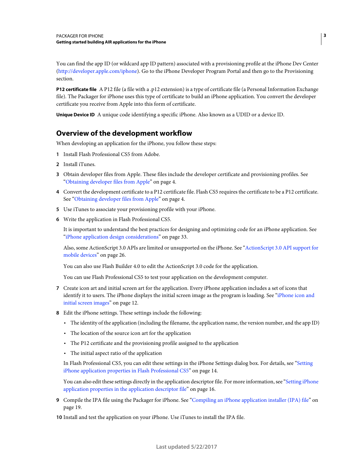You can find the app ID (or wildcard app ID pattern) associated with a provisioning profile at the iPhone Dev Center [\(http://developer.apple.com/iphone](http://developer.apple.com/iphone)). Go to the iPhone Developer Program Portal and then go to the Provisioning section.

**P12 certificate file** A P12 file (a file with a .p12 extension) is a type of certificate file (a Personal Information Exchange file). The Packager for iPhone uses this type of certificate to build an iPhone application. You convert the developer certificate you receive from Apple into this form of certificate.

**Unique Device ID** A unique code identifying a specific iPhone. Also known as a UDID or a device ID.

### **Overview of the development workflow**

When developing an application for the iPhone, you follow these steps:

- **1** Install Flash Professional CS5 from Adobe.
- **2** Install iTunes.
- **3** Obtain developer files from Apple. These files include the developer certificate and provisioning profiles. See ["Obtaining developer files from Apple" on page](#page-6-1) 4.
- **4** Convert the development certificate to a P12 certificate file. Flash CS5 requires the certificate to be a P12 certificate. See ["Obtaining developer files from Apple" on page](#page-6-1) 4.
- **5** Use iTunes to associate your provisioning profile with your iPhone.
- **6** Write the application in Flash Professional CS5.

It is important to understand the best practices for designing and optimizing code for an iPhone application. See ["iPhone application design considerations" on page](#page-35-2) 33.

Also, some ActionScript 3.0 APIs are limited or unsupported on the iPhone. See ["ActionScript 3.0 API support for](#page-28-2)  [mobile devices" on page](#page-28-2) 26.

You can also use Flash Builder 4.0 to edit the ActionScript 3.0 code for the application.

You can use Flash Professional CS5 to test your application on the development computer.

- **7** Create icon art and initial screen art for the application. Every iPhone application includes a set of icons that identify it to users. The iPhone displays the initial screen image as the program is loading. See ["iPhone icon and](#page-14-2)  [initial screen images" on page](#page-14-2) 12.
- **8** Edit the iPhone settings. These settings include the following:
	- The identity of the application (including the filename, the application name, the version number, and the app ID)
	- The location of the source icon art for the application
	- The P12 certificate and the provisioning profile assigned to the application
	- The initial aspect ratio of the application

In Flash Professional CS5, you can edit these settings in the iPhone Settings dialog box. For details, see ["Setting](#page-16-1)  [iPhone application properties in Flash Professional CS5" on page](#page-16-1) 14.

You can also edit these settings directly in the application descriptor file. For more information, see ["Setting iPhone](#page-18-0)  [application properties in the application descriptor file" on page](#page-18-0) 16.

**9** Compile the IPA file using the Packager for iPhone. See ["Compiling an iPhone application installer \(IPA\) file" on](#page-21-1)  [page](#page-21-1) 19.

**10** Install and test the application on your iPhone. Use iTunes to install the IPA file.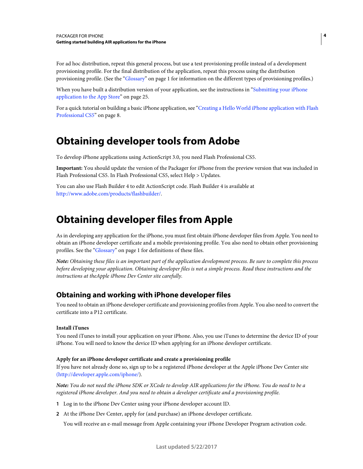For ad hoc distribution, repeat this general process, but use a test provisioning profile instead of a development provisioning profile. For the final distribution of the application, repeat this process using the distribution provisioning profile. (See the ["Glossary" on page](#page-3-2) 1 for information on the different types of provisioning profiles.)

When you have built a distribution version of your application, see the instructions in "Submitting your iPhone [application to the App Store" on page](#page-27-1) 25.

For a quick tutorial on building a basic iPhone application, see ["Creating a Hello World iPhone application with Flash](#page-10-0)  [Professional CS5" on page](#page-10-0) 8.

## <span id="page-6-0"></span>**Obtaining developer tools from Adobe**

To develop iPhone applications using ActionScript 3.0, you need Flash Professional CS5.

**Important:** You should update the version of the Packager for iPhone from the preview version that was included in Flash Professional CS5. In Flash Professional CS5, select Help > Updates.

You can also use Flash Builder 4 to edit ActionScript code. Flash Builder 4 is available at <http://www.adobe.com/products/flashbuilder/>.

### <span id="page-6-2"></span><span id="page-6-1"></span>**Obtaining developer files from Apple**

As in developing any application for the iPhone, you must first obtain iPhone developer files from Apple. You need to obtain an iPhone developer certificate and a mobile provisioning profile. You also need to obtain other provisioning profiles. See the ["Glossary" on page](#page-3-2) 1 for definitions of these files.

*Note: Obtaining these files is an important part of the application development process. Be sure to complete this process before developing your application. Obtaining developer files is not a simple process. Read these instructions and the instructions at theApple iPhone Dev Center site carefully.*

### **Obtaining and working with iPhone developer files**

You need to obtain an iPhone developer certificate and provisioning profiles from Apple. You also need to convert the certificate into a P12 certificate.

#### **Install iTunes**

You need iTunes to install your application on your iPhone. Also, you use iTunes to determine the device ID of your iPhone. You will need to know the device ID when applying for an iPhone developer certificate.

#### **Apply for an iPhone developer certificate and create a provisioning profile**

If you have not already done so, sign up to be a registered iPhone developer at the Apple iPhone Dev Center site [\(http://developer.apple.com/iphone/](http://developer.apple.com/iphone/)).

*Note: You do not need the iPhone SDK or XCode to develop AIR applications for the iPhone. You do need to be a registered iPhone developer. And you need to obtain a developer certificate and a provisioning profile.*

- **1** Log in to the iPhone Dev Center using your iPhone developer account ID.
- **2** At the iPhone Dev Center, apply for (and purchase) an iPhone developer certificate.

You will receive an e-mail message from Apple containing your iPhone Developer Program activation code.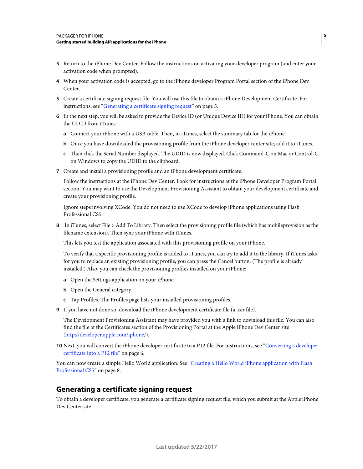- **3** Return to the iPhone Dev Center. Follow the instructions on activating your developer program (and enter your activation code when prompted).
- **4** When your activation code is accepted, go to the iPhone developer Program Portal section of the iPhone Dev Center.
- **5** Create a certificate signing request file. You will use this file to obtain a iPhone Development Certificate. For instructions, see ["Generating a certificate signing request" on page](#page-7-0) 5.
- **6** In the next step, you will be asked to provide the Device ID (or Unique Device ID) for your iPhone. You can obtain the UDID from iTunes:
	- **a** Connect your iPhone with a USB cable. Then, in iTunes, select the summary tab for the iPhone.
	- **b** Once you have downloaded the provisioning profile from the iPhone developer center site, add it to iTunes.
	- **c** Then click the Serial Number displayed. The UDID is now displayed. Click Command-C on Mac or Control-C on Windows to copy the UDID to the clipboard.
- **7** Create and install a provisioning profile and an iPhone development certificate.

Follow the instructions at the iPhone Dev Center. Look for instructions at the iPhone Developer Program Portal section. You may want to use the Development Provisioning Assistant to obtain your development certificate and create your provisioning profile.

Ignore steps involving XCode. You do not need to use XCode to develop iPhone applications using Flash Professional CS5.

**8** In iTunes, select File > Add To Library. Then select the provisioning profile file (which has mobileprovision as the filename extension). Then sync your iPhone with iTunes.

This lets you test the application associated with this provisioning profile on your iPhone.

To verify that a specific provisioning profile is added to iTunes, you can try to add it to the library. If iTunes asks for you to replace an existing provisioning profile, you can press the Cancel button. (The profile is already installed.) Also, you can check the provisioning profiles installed on your iPhone:

- **a** Open the Settings application on your iPhone.
- **b** Open the General category.
- **c** Tap Profiles. The Profiles page lists your installed provisioning profiles.
- **9** If you have not done so, download the iPhone development certificate file (a .cer file).

The Development Provisioning Assistant may have provided you with a link to download this file. You can also find the file at the Certificates section of the Provisioning Portal at the Apple iPhone Dev Center site [\(http://developer.apple.com/iphone/](http://developer.apple.com/iphone/)).

**10** Next, you will convert the iPhone developer certificate to a P12 file. For instructions, see ["Converting a developer](#page-8-0)  [certificate into a P12 file" on page](#page-8-0) 6.

You can now create a simple Hello World application. See ["Creating a Hello World iPhone application with Flash](#page-10-0)  [Professional CS5" on page](#page-10-0) 8.

#### <span id="page-7-0"></span>**Generating a certificate signing request**

To obtain a developer certificate, you generate a certificate signing request file, which you submit at the Apple iPhone Dev Center site.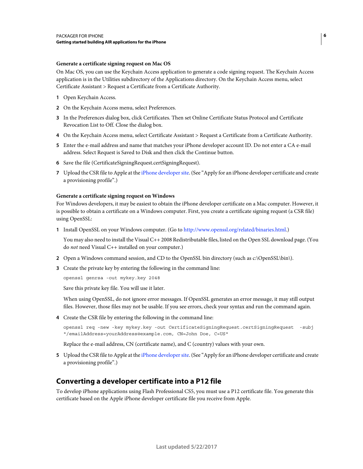#### **Generate a certificate signing request on Mac OS**

On Mac OS, you can use the Keychain Access application to generate a code signing request. The Keychain Access application is in the Utilities subdirectory of the Applications directory. On the Keychain Access menu, select Certificate Assistant > Request a Certificate from a Certificate Authority.

- **1** Open Keychain Access.
- **2** On the Keychain Access menu, select Preferences.
- **3** In the Preferences dialog box, click Certificates. Then set Online Certificate Status Protocol and Certificate Revocation List to Off. Close the dialog box.
- **4** On the Keychain Access menu, select Certificate Assistant > Request a Certificate from a Certificate Authority.
- **5** Enter the e-mail address and name that matches your iPhone developer account ID. Do not enter a CA e-mail address. Select Request is Saved to Disk and then click the Continue button.
- **6** Save the file (CertificateSigningRequest.certSigningRequest).
- **7** Upload the CSR file to Apple at the [iPhone developer site.](http://developer.apple.com/iphone/) (See "Apply for an iPhone developer certificate and create a provisioning profile".)

#### **Generate a certificate signing request on Windows**

For Windows developers, it may be easiest to obtain the iPhone developer certificate on a Mac computer. However, it is possible to obtain a certificate on a Windows computer. First, you create a certificate signing request (a CSR file) using OpenSSL:

**1** Install OpenSSL on your Windows computer. (Go to<http://www.openssl.org/related/binaries.html>.)

You may also need to install the Visual C++ 2008 Redistributable files, listed on the Open SSL download page. (You do *not* need Visual C++ installed on your computer.)

- **2** Open a Windows command session, and CD to the OpenSSL bin directory (such as c:\OpenSSL\bin\).
- **3** Create the private key by entering the following in the command line:

openssl genrsa -out mykey.key 2048

Save this private key file. You will use it later.

When using OpenSSL, do not ignore error messages. If OpenSSL generates an error message, it may still output files. However, those files may not be usable. If you see errors, check your syntax and run the command again.

**4** Create the CSR file by entering the following in the command line:

openssl req -new -key mykey.key -out CertificateSigningRequest.certSigningRequest -subj "/emailAddress=yourAddress@example.com, CN=John Doe, C=US"

Replace the e-mail address, CN (certificate name), and C (country) values with your own.

**5** Upload the CSR file to Apple at the [iPhone developer site.](http://developer.apple.com/iphone/) (See "Apply for an iPhone developer certificate and create a provisioning profile".)

### <span id="page-8-1"></span><span id="page-8-0"></span>**Converting a developer certificate into a P12 file**

To develop iPhone applications using Flash Professional CS5, you must use a P12 certificate file. You generate this certificate based on the Apple iPhone developer certificate file you receive from Apple.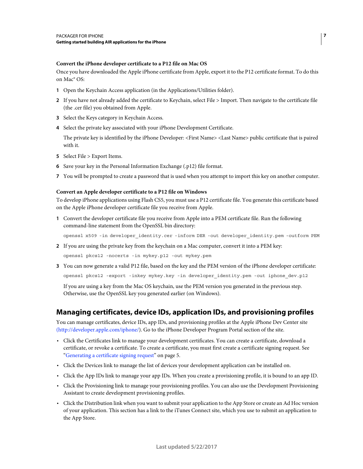#### **Convert the iPhone developer certificate to a P12 file on Mac OS**

Once you have downloaded the Apple iPhone certificate from Apple, export it to the P12 certificate format. To do this on Mac® OS:

- **1** Open the Keychain Access application (in the Applications/Utilities folder).
- **2** If you have not already added the certificate to Keychain, select File > Import. Then navigate to the certificate file (the .cer file) you obtained from Apple.
- **3** Select the Keys category in Keychain Access.
- **4** Select the private key associated with your iPhone Development Certificate.

The private key is identified by the iPhone Developer: <First Name> <Last Name> public certificate that is paired with it.

- **5** Select File > Export Items.
- **6** Save your key in the Personal Information Exchange (.p12) file format.
- **7** You will be prompted to create a password that is used when you attempt to import this key on another computer.

#### **Convert an Apple developer certificate to a P12 file on Windows**

To develop iPhone applications using Flash CS5, you must use a P12 certificate file. You generate this certificate based on the Apple iPhone developer certificate file you receive from Apple.

**1** Convert the developer certificate file you receive from Apple into a PEM certificate file. Run the following command-line statement from the OpenSSL bin directory:

openssl x509 -in developer\_identity.cer -inform DER -out developer\_identity.pem -outform PEM

**2** If you are using the private key from the keychain on a Mac computer, convert it into a PEM key:

openssl pkcs12 -nocerts -in mykey.p12 -out mykey.pem

**3** You can now generate a valid P12 file, based on the key and the PEM version of the iPhone developer certificate:

openssl pkcs12 -export -inkey mykey.key -in developer\_identity.pem -out iphone\_dev.p12

If you are using a key from the Mac OS keychain, use the PEM version you generated in the previous step. Otherwise, use the OpenSSL key you generated earlier (on Windows).

### **Managing certificates, device IDs, application IDs, and provisioning profiles**

You can manage certificates, device IDs, app IDs, and provisioning profiles at the Apple iPhone Dev Center site [\(http://developer.apple.com/iphone/](http://developer.apple.com/iphone/)). Go to the iPhone Developer Program Portal section of the site.

- Click the Certificates link to manage your development certificates. You can create a certificate, download a certificate, or revoke a certificate. To create a certificate, you must first create a certificate signing request. See ["Generating a certificate signing request" on page](#page-7-0) 5.
- Click the Devices link to manage the list of devices your development application can be installed on.
- Click the App IDs link to manage your app IDs. When you create a provisioning profile, it is bound to an app ID.
- Click the Provisioning link to manage your provisioning profiles. You can also use the Development Provisioning Assistant to create development provisioning profiles.
- Click the Distribution link when you want to submit your application to the App Store or create an Ad Hoc version of your application. This section has a link to the iTunes Connect site, which you use to submit an application to the App Store.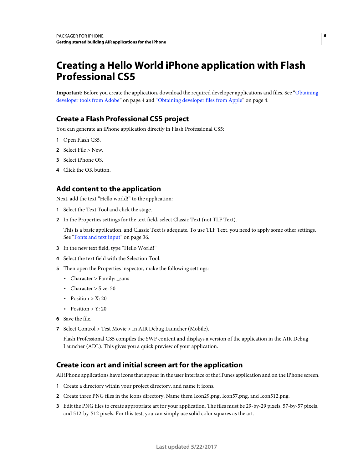### <span id="page-10-2"></span><span id="page-10-0"></span>**Creating a Hello World iPhone application with Flash Professional CS5**

**Important:** Before you create the application, download the required developer applications and files. See ["Obtaining](#page-6-0)  [developer tools from Adobe" on page](#page-6-0) 4 and ["Obtaining developer files from Apple" on page](#page-6-1) 4.

### **Create a Flash Professional CS5 project**

You can generate an iPhone application directly in Flash Professional CS5:

- **1** Open Flash CS5.
- **2** Select File > New.
- **3** Select iPhone OS.
- **4** Click the OK button.

### **Add content to the application**

Next, add the text "Hello world!" to the application:

- **1** Select the Text Tool and click the stage.
- **2** In the Properties settings for the text field, select Classic Text (not TLF Text).

This is a basic application, and Classic Text is adequate. To use TLF Text, you need to apply some other settings. See ["Fonts and text input" on page](#page-38-2) 36.

- **3** In the new text field, type "Hello World!"
- **4** Select the text field with the Selection Tool.
- **5** Then open the Properties inspector, make the following settings:
	- Character > Family: sans
	- Character > Size: 50
	- Position  $> X: 20$
	- Position >  $Y: 20$
- **6** Save the file.
- **7** Select Control > Test Movie > In AIR Debug Launcher (Mobile).

Flash Professional CS5 compiles the SWF content and displays a version of the application in the AIR Debug Launcher (ADL). This gives you a quick preview of your application.

### <span id="page-10-1"></span>**Create icon art and initial screen art for the application**

All iPhone applications have icons that appear in the user interface of the iTunes application and on the iPhone screen.

- **1** Create a directory within your project directory, and name it icons.
- **2** Create three PNG files in the icons directory. Name them Icon29.png, Icon57.png, and Icon512.png.
- **3** Edit the PNG files to create appropriate art for your application. The files must be 29-by-29 pixels, 57-by-57 pixels, and 512-by-512 pixels. For this test, you can simply use solid color squares as the art.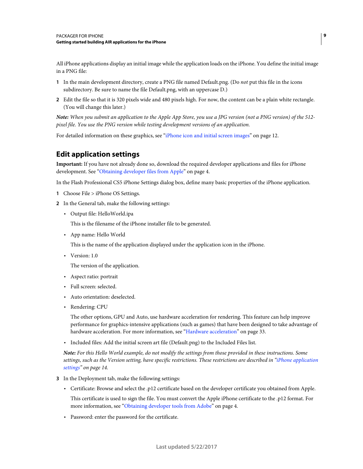All iPhone applications display an initial image while the application loads on the iPhone. You define the initial image in a PNG file:

- **1** In the main development directory, create a PNG file named Default.png. (Do *not* put this file in the icons subdirectory. Be sure to name the file Default.png, with an uppercase D.)
- **2** Edit the file so that it is 320 pixels wide and 480 pixels high. For now, the content can be a plain white rectangle. (You will change this later.)

*Note: When you submit an application to the Apple App Store, you use a JPG version (not a PNG version) of the 512 pixel file. You use the PNG version while testing development versions of an application.*

For detailed information on these graphics, see ["iPhone icon and initial screen images" on page](#page-14-2) 12.

### **Edit application settings**

**Important:** If you have not already done so, download the required developer applications and files for iPhone development. See ["Obtaining developer files from Apple" on page](#page-6-1) 4.

In the Flash Professional CS5 iPhone Settings dialog box, define many basic properties of the iPhone application.

- **1** Choose File > iPhone OS Settings.
- **2** In the General tab, make the following settings:
	- Output file: HelloWorld.ipa

This is the filename of the iPhone installer file to be generated.

• App name: Hello World

This is the name of the application displayed under the application icon in the iPhone.

• Version: 1.0

The version of the application.

- Aspect ratio: portrait
- Full screen: selected.
- Auto orientation: deselected.
- Rendering: CPU

The other options, GPU and Auto, use hardware acceleration for rendering. This feature can help improve performance for graphics-intensive applications (such as games) that have been designed to take advantage of hardware acceleration. For more information, see ["Hardware acceleration" on page](#page-35-3) 33.

• Included files: Add the initial screen art file (Default.png) to the Included Files list.

*Note: For this Hello World example, do not modify the settings from those provided in these instructions. Some settings, such as the Version setting, have specific restrictions. These restrictions are described in ["iPhone application](#page-16-2)  [settings" on page](#page-16-2) 14.*

- **3** In the Deployment tab, make the following settings:
	- Certificate: Browse and select the .p12 certificate based on the developer certificate you obtained from Apple.

This certificate is used to sign the file. You must convert the Apple iPhone certificate to the .p12 format. For more information, see ["Obtaining developer tools from Adobe" on page](#page-6-0) 4.

• Password: enter the password for the certificate.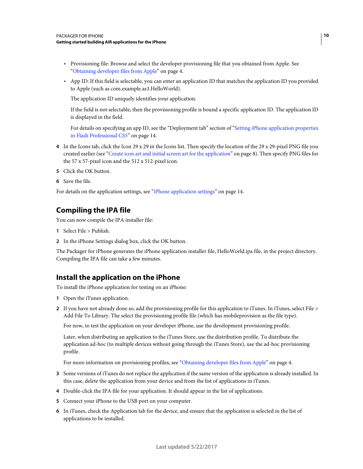- Provisioning file: Browse and select the developer provisioning file that you obtained from Apple. See ["Obtaining developer files from Apple" on page](#page-6-1) 4.
- App ID: If this field is selectable, you can enter an application ID that matches the application ID you provided to Apple (such as com.example.as3.HelloWorld).

The application ID uniquely identifies your application.

If the field is not selectable, then the provisioning profile is bound a specific application ID. The application ID is displayed in the field.

For details on specifying an app ID, see the "Deployment tab" section of ["Setting iPhone application properties](#page-16-1)  [in Flash Professional CS5" on page](#page-16-1) 14.

- **4** In the Icons tab, click the Icon 29 x 29 in the Icons list. Then specify the location of the 29 x 29-pixel PNG file you created earlier (see ["Create icon art and initial screen art for the application" on page](#page-10-1) 8). Then specify PNG files for the 57 x 57-pixel icon and the 512 x 512-pixel icon.
- **5** Click the OK button.
- **6** Save the file.

For details on the application settings, see ["iPhone application settings" on page](#page-16-2) 14.

### <span id="page-12-0"></span>**Compiling the IPA file**

You can now compile the IPA installer file:

- **1** Select File > Publish.
- **2** In the iPhone Settings dialog box, click the OK button.

The Packager for iPhone generates the iPhone application installer file, HelloWorld.ipa file, in the project directory. Compiling the IPA file can take a few minutes.

### **Install the application on the iPhone**

To install the iPhone application for testing on an iPhone:

- **1** Open the iTunes application.
- **2** If you have not already done so, add the provisioning profile for this application to iTunes. In iTunes, select File > Add File To Library. The select the provisioning profile file (which has mobileprovision as the file type).

For now, to test the application on your developer iPhone, use the development provisioning profile.

Later, when distributing an application to the iTunes Store, use the distribution profile. To distribute the application ad-hoc (to multiple devices without going through the iTunes Store), use the ad-hoc provisioning profile.

For more information on provisioning profiles, see ["Obtaining developer files from Apple" on page](#page-6-1) 4.

- **3** Some versions of iTunes do not replace the application if the same version of the application is already installed. In this case, delete the application from your device and from the list of applications in iTunes.
- **4** Double-click the IPA file for your application. It should appear in the list of applications.
- **5** Connect your iPhone to the USB port on your computer.
- **6** In iTunes, check the Application tab for the device, and ensure that the application is selected in the list of applications to be installed.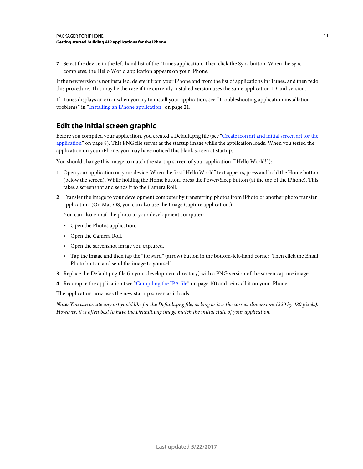**7** Select the device in the left-hand list of the iTunes application. Then click the Sync button. When the sync completes, the Hello World application appears on your iPhone.

If the new version is not installed, delete it from your iPhone and from the list of applications in iTunes, and then redo this procedure. This may be the case if the currently installed version uses the same application ID and version.

If iTunes displays an error when you try to install your application, see "Troubleshooting application installation problems" in ["Installing an iPhone application" on page](#page-23-1) 21.

### **Edit the initial screen graphic**

Before you compiled your application, you created a Default.png file (see "Create icon art and initial screen art for the [application" on page](#page-10-1) 8). This PNG file serves as the startup image while the application loads. When you tested the application on your iPhone, you may have noticed this blank screen at startup.

You should change this image to match the startup screen of your application ("Hello World!"):

- **1** Open your application on your device. When the first "Hello World" text appears, press and hold the Home button (below the screen). While holding the Home button, press the Power/Sleep button (at the top of the iPhone). This takes a screenshot and sends it to the Camera Roll.
- **2** Transfer the image to your development computer by transferring photos from iPhoto or another photo transfer application. (On Mac OS, you can also use the Image Capture application.)

You can also e-mail the photo to your development computer:

- Open the Photos application.
- Open the Camera Roll.
- Open the screenshot image you captured.
- Tap the image and then tap the "forward" (arrow) button in the bottom-left-hand corner. Then click the Email Photo button and send the image to yourself.
- **3** Replace the Default.png file (in your development directory) with a PNG version of the screen capture image.
- **4** Recompile the application (see ["Compiling the IPA file" on page](#page-12-0) 10) and reinstall it on your iPhone.

The application now uses the new startup screen as it loads.

*Note: You can create any art you'd like for the Default.png file, as long as it is the correct dimensions (320 by 480 pixels). However, it is often best to have the Default.png image match the initial state of your application.*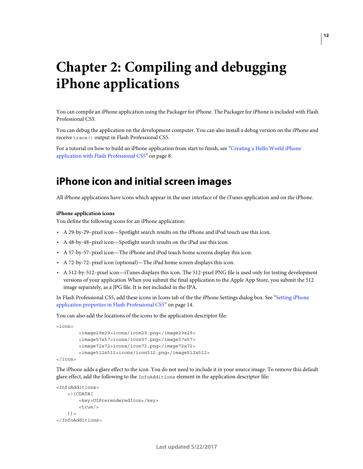# <span id="page-14-0"></span>**Chapter 2: Compiling and debugging iPhone applications**

You can compile an iPhone application using the Packager for iPhone. The Packager for iPhone is included with Flash Professional CS5.

You can debug the application on the development computer. You can also install a debug version on the iPhone and receive trace() output in Flash Professional CS5.

For a tutorial on how to build an iPhone application from start to finish, see ["Creating a Hello World iPhone](#page-10-2)  [application with Flash Professional CS5" on page](#page-10-2) 8.

### <span id="page-14-2"></span><span id="page-14-1"></span>**iPhone icon and initial screen images**

All iPhone applications have icons which appear in the user interface of the iTunes application and on the iPhone.

#### **iPhone application icons**

You define the following icons for an iPhone application:

- A 29-by-29–pixel icon—Spotlight search results on the iPhone and iPod touch use this icon.
- A 48-by-48–pixel icon—Spotlight search results on the iPad use this icon.
- A 57-by-57–pixel icon—The iPhone and iPod touch home screens display this icon.
- A 72-by-72–pixel icon (optional)—The iPad home screen displays this icon.
- A 512-by-512–pixel icon—iTunes displays this icon. The 512-pixel PNG file is used only for testing development versions of your application When you submit the final application to the Apple App Store, you submit the 512 image separately, as a JPG file. It is not included in the IPA.

In Flash Professional CS5, add these icons in Icons tab of the the iPhone Settings dialog box. See ["Setting iPhone](#page-16-3)  [application properties in Flash Professional CS5" on page](#page-16-3) 14.

You can also add the locations of the icons to the application descriptor file:

```
<icon> 
        <image29x29>icons/icon29.png</image29x29> 
        <image57x57>icons/icon57.png</image57x57> 
        <image72x72>icons/icon72.png</image72x72> 
        <image512x512>icons/icon512.png</image512x512>
```
</icon>

The iPhone adds a glare effect to the icon. You do not need to include it in your source image. To remove this default glare effect, add the following to the InfoAdditions element in the application descriptor file:

```
<InfoAdditions> 
    <![CDATA[ 
        <key>UIPrerenderedIcon</key> 
        <true/> 
    11></InfoAdditions>
```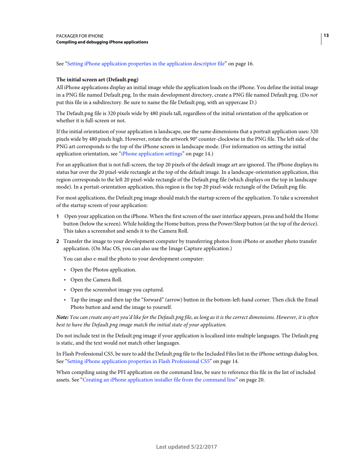See ["Setting iPhone application properties in the application descriptor file" on page](#page-18-1) 16.

#### **The initial screen art (Default.png)**

All iPhone applications display an initial image while the application loads on the iPhone. You define the initial image in a PNG file named Default.png. In the main development directory, create a PNG file named Default.png. (Do *not* put this file in a subdirectory. Be sure to name the file Default.png, with an uppercase D.)

The Default.png file is 320 pixels wide by 480 pixels tall, regardless of the initial orientation of the application or whether it is full-screen or not.

If the initial orientation of your application is landscape, use the same dimensions that a portrait application uses: 320 pixels wide by 480 pixels high. However, rotate the artwork 90° counter-clockwise in the PNG file. The left side of the PNG art corresponds to the top of the iPhone screen in landscape mode. (For information on setting the initial application orientation, see ["iPhone application settings" on page](#page-16-0) 14.)

For an application that is not full-screen, the top 20 pixels of the default image art are ignored. The iPhone displays its status bar over the 20 pixel-wide rectangle at the top of the default image. In a landscape-orientation application, this region corresponds to the left 20 pixel-wide rectangle of the Default.png file (which displays on the top in landscape mode). In a portait-orientation application, this region is the top 20 pixel-wide rectangle of the Default.png file.

For most applications, the Default.png image should match the startup screen of the application. To take a screenshot of the startup screen of your application:

- **1** Open your application on the iPhone. When the first screen of the user interface appears, press and hold the Home button (below the screen). While holding the Home button, press the Power/Sleep button (at the top of the device). This takes a screenshot and sends it to the Camera Roll.
- **2** Transfer the image to your development computer by transferring photos from iPhoto or another photo transfer application. (On Mac OS, you can also use the Image Capture application.)

You can also e-mail the photo to your development computer:

- Open the Photos application.
- Open the Camera Roll.
- Open the screenshot image you captured.
- Tap the image and then tap the "forward" (arrow) button in the bottom-left-hand corner. Then click the Email Photo button and send the image to yourself.

*Note: You can create any art you'd like for the Default.png file, as long as it is the correct dimensions. However, it is often best to have the Default.png image match the initial state of your application.*

Do not include text in the Default.png image if your application is localized into multiple languages. The Default.png is static, and the text would not match other languages.

In Flash Professional CS5, be sure to add the Default.png file to the Included Files list in the iPhone settings dialog box. See ["Setting iPhone application properties in Flash Professional CS5" on page](#page-16-3) 14.

When compiling using the PFI application on the command line, be sure to reference this file in the list of included assets. See ["Creating an iPhone application installer file from the command line" on page](#page-22-0) 20.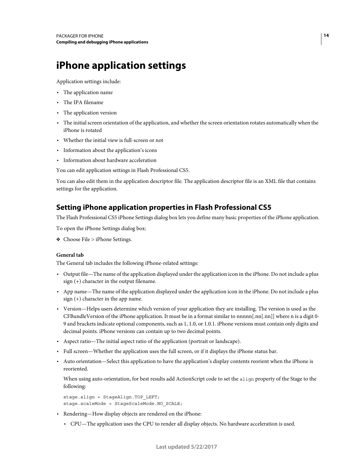# <span id="page-16-2"></span><span id="page-16-0"></span>**iPhone application settings**

Application settings include:

- The application name
- The IPA filename
- The application version
- The initial screen orientation of the application, and whether the screen orientation rotates automatically when the iPhone is rotated
- Whether the initial view is full-screen or not
- Information about the application's icons
- Information about hardware acceleration

You can edit application settings in Flash Professional CS5.

You can also edit them in the application descriptor file. The application descriptor file is an XML file that contains settings for the application.

### <span id="page-16-3"></span><span id="page-16-1"></span>**Setting iPhone application properties in Flash Professional CS5**

The Flash Professional CS5 iPhone Settings dialog box lets you define many basic properties of the iPhone application.

To open the iPhone Settings dialog box:

 $\triangleleft$  Choose File > iPhone Settings.

#### **General tab**

The General tab includes the following iPhone-related settings:

- Output file—The name of the application displayed under the application icon in the iPhone. Do not include a plus sign (+) character in the output filename.
- App name—The name of the application displayed under the application icon in the iPhone. Do not include a plus sign (+) character in the app name.
- Version—Helps users determine which version of your application they are installing. The version is used as the CFBundleVersion of the iPhone application. It must be in a format similar to nnnnn[.nn[.nn]] where n is a digit 0- 9 and brackets indicate optional components, such as 1, 1.0, or 1.0.1. iPhone versions must contain only digits and decimal points. iPhone versions can contain up to two decimal points.
- Aspect ratio—The initial aspect ratio of the application (portrait or landscape).
- Full screen—Whether the application uses the full screen, or if it displays the iPhone status bar.
- Auto orientation—Select this application to have the application's display contents reorient when the iPhone is reoriented.

When using auto-orientation, for best results add ActionScript code to set the align property of the Stage to the following:

stage.align = StageAlign.TOP LEFT; stage.scaleMode = StageScaleMode.NO\_SCALE;

- Rendering—How display objects are rendered on the iPhone:
	- CPU—The application uses the CPU to render all display objects. No hardware acceleration is used.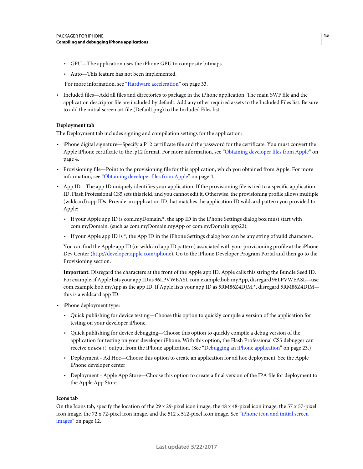- GPU—The application uses the iPhone GPU to composite bitmaps.
- Auto—This feature has not been implemented.

For more information, see ["Hardware acceleration" on page](#page-35-3) 33.

• Included files—Add all files and directories to package in the iPhone application. The main SWF file and the application descriptor file are included by default. Add any other required assets to the Included Files list. Be sure to add the initial screen art file (Default.png) to the Included Files list.

#### **Deployment tab**

The Deployment tab includes signing and compilation settings for the application:

- iPhone digital signature—Specify a P12 certificate file and the password for the certificate. You must convert the Apple iPhone certificate to the .p12 format. For more information, see ["Obtaining developer files from Apple" on](#page-6-2)  [page](#page-6-2) 4.
- Provisioning file—Point to the provisioning file for this application, which you obtained from Apple. For more information, see ["Obtaining developer files from Apple" on page](#page-6-2) 4.
- App ID—The app ID uniquely identifies your application. If the provisioning file is tied to a specific application ID, Flash Professional CS5 sets this field, and you cannot edit it. Otherwise, the provisioning profile allows multiple (wildcard) app IDs. Provide an application ID that matches the application ID wildcard pattern you provided to Apple:
	- If your Apple app ID is com.myDomain.\*, the app ID in the iPhone Settings dialog box must start with com.myDomain. (such as com.myDomain.myApp or com.myDomain.app22).
	- If your Apple app ID is \*, the App ID in the iPhone Settings dialog box can be any string of valid characters.

You can find the Apple app ID (or wildcard app ID pattern) associated with your provisioning profile at the iPhone Dev Center [\(http://developer.apple.com/iphone\)](http://developer.apple.com/iphone). Go to the iPhone Developer Program Portal and then go to the Provisioning section.

**Important:** Disregard the characters at the front of the Apple app ID. Apple calls this string the Bundle Seed ID. For example, if Apple lists your app ID as 96LPVWEASL.com.example.bob.myApp, disregard 96LPVWEASL—use com.example.bob.myApp as the app ID. If Apple lists your app ID as 5RM86Z4DJM.\*, disregard 5RM86Z4DJM this is a wildcard app ID.

- iPhone deployment type:
	- Quick publishing for device testing—Choose this option to quickly compile a version of the application for testing on your developer iPhone.
	- Quick publishing for device debugging—Choose this option to quickly compile a debug version of the application for testing on your developer iPhone. With this option, the Flash Professional CS5 debugger can receive trace() output from the iPhone application. (See ["Debugging an iPhone application" on page](#page-25-0) 23.)
	- Deployment Ad Hoc—Choose this option to create an application for ad hoc deployment. See the Apple iPhone developer center
	- Deployment Apple App Store—Choose this option to create a final version of the IPA file for deployment to the Apple App Store.

#### **Icons tab**

On the Icons tab, specify the location of the 29 x 29-pixel icon image, the 48 x 48-pixel icon image, the 57 x 57-pixel icon image, the 72 x 72-pixel icon image, and the 512 x 512-pixel icon image. See ["iPhone icon and initial screen](#page-14-1)  [images" on page](#page-14-1) 12.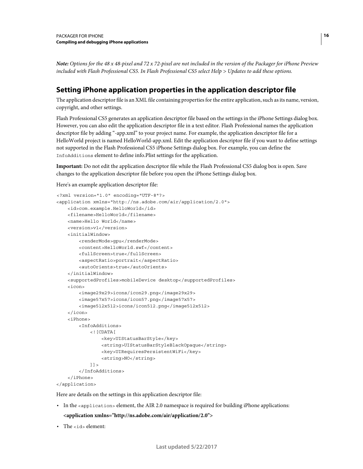*Note: Options for the 48 x 48-pixel and 72 x 72-pixel are not included in the version of the Packager for iPhone Preview included with Flash Professional CS5. In Flash Professional CS5 select Help > Updates to add these options.*

### <span id="page-18-1"></span><span id="page-18-0"></span>**Setting iPhone application properties in the application descriptor file**

The application descriptor file is an XML file containing properties for the entire application, such as its name, version, copyright, and other settings.

Flash Professional CS5 generates an application descriptor file based on the settings in the iPhone Settings dialog box. However, you can also edit the application descriptor file in a text editor. Flash Professional names the application descriptor file by adding "-app.xml" to your project name. For example, the application descriptor file for a HelloWorld project is named HelloWorld-app.xml. Edit the application descriptor file if you want to define settings not supported in the Flash Professional CS5 iPhone Settings dialog box. For example, you can define the InfoAdditions element to define info.Plist settings for the application.

**Important:** Do not edit the application descriptor file while the Flash Professional CS5 dialog box is open. Save changes to the application descriptor file before you open the iPhone Settings dialog box.

Here's an example application descriptor file:

```
<?xml version="1.0" encoding="UTF-8"?> 
<application xmlns="http://ns.adobe.com/air/application/2.0"> 
   <id>com.example.HelloWorld</id> 
   <filename>HelloWorld</filename> 
   <name>Hello World</name> 
   <version>v1</version> 
   <initialWindow> 
        <renderMode>gpu</renderMode>
        <content>HelloWorld.swf</content> 
        <fullScreen>true</fullScreen> 
        <aspectRatio>portrait</aspectRatio> 
        <autoOrients>true</autoOrients> 
    </initialWindow> 
   <supportedProfiles>mobileDevice desktop</supportedProfiles> 
   <icon> 
        <image29x29>icons/icon29.png</image29x29> 
        <image57x57>icons/icon57.png</image57x57> 
        <image512x512>icons/icon512.png</image512x512> 
   </icon> 
    <iPhone> 
        <InfoAdditions> 
            <![CDATA[ 
                <key>UIStatusBarStyle</key> 
                <string>UIStatusBarStyleBlackOpaque</string> 
                <key>UIRequiresPersistentWiFi</key> 
                <string>NO</string> 
            ]] >
        </InfoAdditions> 
    </iPhone> 
</application>
```
Here are details on the settings in this application descriptor file:

• In the <application> element, the AIR 2.0 namespace is required for building iPhone applications:

**<application xmlns="http://ns.adobe.com/air/application/2.0">** 

• The <id> element: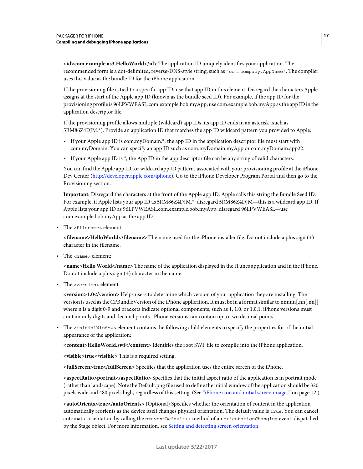**<id>com.example.as3.HelloWorld</id>** The application ID uniquely identifies your application. The recommended form is a dot-delimited, reverse-DNS-style string, such as "com.company.AppName". The compiler uses this value as the bundle ID for the iPhone application.

If the provisioning file is tied to a specific app ID, use that app ID in this element. Disregard the characters Apple assigns at the start of the Apple app ID (known as the bundle seed ID). For example, if the app ID for the provisioning profile is 96LPVWEASL.com.example.bob.myApp, use com.example.bob.myApp as the app ID in the application descriptor file.

If the provisioning profile allows multiple (wildcard) app IDs, its app ID ends in an asterisk (such as 5RM86Z4DJM.\*). Provide an application ID that matches the app ID wildcard pattern you provided to Apple:

- If your Apple app ID is com.myDomain.\*, the app ID in the application descriptor file must start with com.myDomain. You can specify an app ID such as com.myDomain.myApp or com.myDomain.app22.
- If your Apple app ID is \*, the App ID in the app descriptor file can be any string of valid characters.

You can find the Apple app ID (or wildcard app ID pattern) associated with your provisioning profile at the iPhone Dev Center [\(http://developer.apple.com/iphone\)](http://developer.apple.com/iphone). Go to the iPhone Developer Program Portal and then go to the Provisioning section.

**Important:** Disregard the characters at the front of the Apple app ID. Apple calls this string the Bundle Seed ID. For example, if Apple lists your app ID as 5RM86Z4DJM.\*, disregard 5RM86Z4DJM—this is a wildcard app ID. If Apple lists your app ID as 96LPVWEASL.com.example.bob.myApp, disregard 96LPVWEASL—use com.example.bob.myApp as the app ID.

• The <filename> element:

**<filename>HelloWorld</filename>** The name used for the iPhone installer file. Do not include a plus sign (+) character in the filename.

• The <name> element:

**<name>Hello World</name>** The name of the application displayed in the iTunes application and in the iPhone. Do not include a plus sign (+) character in the name.

• The <version> element:

**<version>1.0</version>** Helps users to determine which version of your application they are installing. The version is used as the CFBundleVersion of the iPhone application. It must be in a format similar to nnnnn[.nn[.nn]] where n is a digit 0-9 and brackets indicate optional components, such as 1, 1.0, or 1.0.1. iPhone versions must contain only digits and decimal points. iPhone versions can contain up to two decimal points.

 $\bullet$  The  $\le$ initialWindow> element contains the following child elements to specify the properties for of the initial appearance of the application:

**<content>HelloWorld.swf</content>** Identifies the root SWF file to compile into the iPhone application.

**<visible>true</visible>** This is a required setting.

**<fullScreen>true</fullScreen>** Specifies that the application uses the entire screen of the iPhone.

**<aspectRatio>portrait</aspectRatio>** Specifies that the initial aspect ratio of the application is in portrait mode (rather than landscape). Note the Default.png file used to define the initial window of the application should be 320 pixels wide and 480 pixels high, regardless of this setting. (See ["iPhone icon and initial screen images" on page](#page-14-1) 12.)

**<autoOrients>true</autoOrients>** (Optional) Specifies whether the orientation of content in the application automatically reorients as the device itself changes physical orientation. The default value is true. You can cancel automatic orientation by calling the preventDefault () method of an orientationChanging event. dispatched by the Stage object. For more information, see [Setting and detecting screen orientation.](http://help.adobe.com/en_US/as3/dev/WS5b3ccc516d4fbf351e63e3d118676a47e0-8000.html#WS789ea67d3e73a8b220f0e28f123c3c58a85-8000)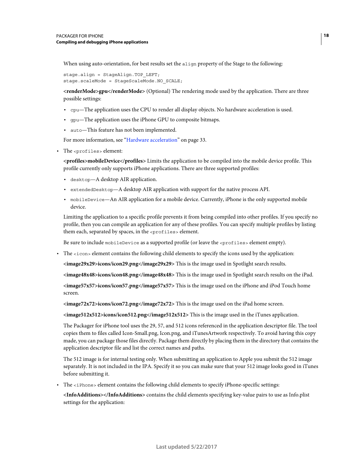When using auto-orientation, for best results set the align property of the Stage to the following:

stage.align = StageAlign.TOP LEFT; stage.scaleMode = StageScaleMode.NO SCALE;

**<renderMode>gpu</renderMode>** (Optional) The rendering mode used by the application. There are three possible settings:

- cpu—The application uses the CPU to render all display objects. No hardware acceleration is used.
- gpu—The application uses the iPhone GPU to composite bitmaps.
- auto—This feature has not been implemented.

For more information, see ["Hardware acceleration" on page](#page-35-3) 33.

• The <profiles> element:

**<profiles>mobileDevice</profiles>** Limits the application to be compiled into the mobile device profile. This profile currently only supports iPhone applications. There are three supported profiles:

- desktop—A desktop AIR application.
- extendedDesktop—A desktop AIR application with support for the native process API.
- mobileDevice—An AIR application for a mobile device. Currently, iPhone is the only supported mobile device.

Limiting the application to a specific profile prevents it from being compiled into other profiles. If you specify no profile, then you can compile an application for any of these profiles. You can specify multiple profiles by listing them each, separated by spaces, in the <profiles> element.

Be sure to include mobileDevice as a supported profile (or leave the  $\le$ profiles> element empty).

• The <icon> element contains the following child elements to specify the icons used by the application:

**<image29x29>icons/icon29.png</image29x29>** This is the image used in Spotlight search results.

**<image48x48>icons/icon48.png</image48x48>** This is the image used in Spotlight search results on the iPad.

**<image57x57>icons/icon57.png</image57x57>** This is the image used on the iPhone and iPod Touch home screen.

**<image72x72>icons/icon72.png</image72x72>** This is the image used on the iPad home screen.

**<image512x512>icons/icon512.png</image512x512>** This is the image used in the iTunes application.

The Packager for iPhone tool uses the 29, 57, and 512 icons referenced in the application descriptor file. The tool copies them to files called Icon-Small.png, Icon.png, and iTunesArtwork respectively. To avoid having this copy made, you can package those files directly. Package them directly by placing them in the directory that contains the application descriptor file and list the correct names and paths.

The 512 image is for internal testing only. When submitting an application to Apple you submit the 512 image separately. It is not included in the IPA. Specify it so you can make sure that your 512 image looks good in iTunes before submitting it.

• The <iPhone> element contains the following child elements to specify iPhone-specific settings:

**<InfoAdditions></InfoAdditions>** contains the child elements specifying key-value pairs to use as Info.plist settings for the application: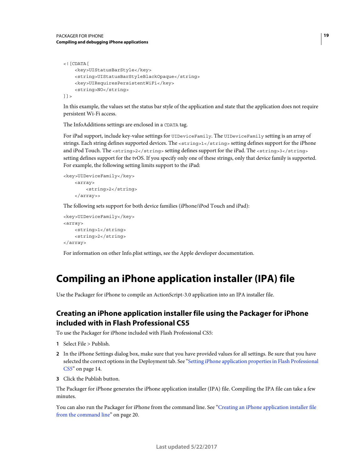```
<! [CDATA [
   <key>UIStatusBarStyle</key> 
    <string>UIStatusBarStyleBlackOpaque</string> 
    <key>UIRequiresPersistentWiFi</key> 
    <string>NO</string> 
]] >
```
In this example, the values set the status bar style of the application and state that the application does not require persistent Wi-Fi access.

The InfoAdditions settings are enclosed in a CDATA tag.

For iPad support, include key-value settings for UIDeviceFamily. The UIDeviceFamily setting is an array of strings. Each string defines supported devices. The <string>1</string>setting defines support for the iPhone and iPod Touch. The  $\langle$ string>2 $\langle$ /string> setting defines support for the iPad. The  $\langle$ string>3 $\langle$ /string> setting defines support for the tvOS. If you specify only one of these strings, only that device family is supported. For example, the following setting limits support to the iPad:

```
<key>UIDeviceFamily</key> 
    <array> 
        <string>2</string> 
    </array>>
```
The following sets support for both device families (iPhone/iPod Touch and iPad):

```
<key>UIDeviceFamily</key> 
<array> 
    <string>1</string> 
    <string>2</string> 
</array>
```
For information on other Info.plist settings, see the Apple developer documentation.

## <span id="page-21-1"></span><span id="page-21-0"></span>**Compiling an iPhone application installer (IPA) file**

Use the Packager for iPhone to compile an ActionScript-3.0 application into an IPA installer file.

### <span id="page-21-2"></span>**Creating an iPhone application installer file using the Packager for iPhone included with in Flash Professional CS5**

To use the Packager for iPhone included with Flash Professional CS5:

- **1** Select File > Publish.
- **2** In the iPhone Settings dialog box, make sure that you have provided values for all settings. Be sure that you have selected the correct options in the Deployment tab. See ["Setting iPhone application properties in Flash Professional](#page-16-3)  [CS5" on page](#page-16-3) 14.
- **3** Click the Publish button.

The Packager for iPhone generates the iPhone application installer (IPA) file. Compiling the IPA file can take a few minutes.

You can also run the Packager for iPhone from the command line. See ["Creating an iPhone application installer file](#page-22-0)  [from the command line" on page](#page-22-0) 20.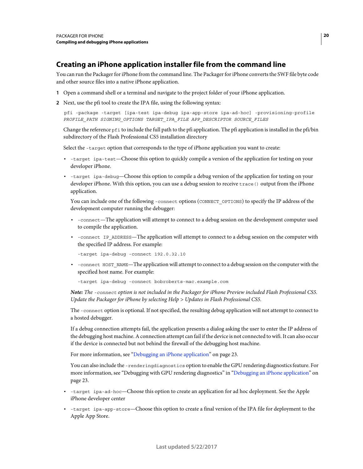### <span id="page-22-0"></span>**Creating an iPhone application installer file from the command line**

You can run the Packager for iPhone from the command line. The Packager for iPhone converts the SWF file byte code and other source files into a native iPhone application.

- **1** Open a command shell or a terminal and navigate to the project folder of your iPhone application.
- **2** Next, use the pfi tool to create the IPA file, using the following syntax:

pfi -package -target [ipa-test ipa-debug ipa-app-store ipa-ad-hoc] -provisioning-profile *PROFILE\_PATH SIGNING\_OPTIONS TARGET\_IPA\_FILE APP\_DESCRIPTOR SOURCE\_FILES*

Change the reference  $pfi$  to include the full path to the pfi application. The pfi application is installed in the pfi/bin subdirectory of the Flash Professional CS5 installation directory

Select the -target option that corresponds to the type of iPhone application you want to create:

- -target ipa-test—Choose this option to quickly compile a version of the application for testing on your developer iPhone.
- -target ipa-debug—Choose this option to compile a debug version of the application for testing on your developer iPhone. With this option, you can use a debug session to receive trace () output from the iPhone application.

You can include one of the following -connect options (CONNECT\_OPTIONS) to specify the IP address of the development computer running the debugger:

- -connect—The application will attempt to connect to a debug session on the development computer used to compile the application.
- -connect IP\_ADDRESS—The application will attempt to connect to a debug session on the computer with the specified IP address. For example:

-target ipa-debug -connect 192.0.32.10

• -connect HOST\_NAME—The application will attempt to connect to a debug session on the computer with the specified host name. For example:

-target ipa-debug -connect bobroberts-mac.example.com

*Note: The -connect option is not included in the Packager for iPhone Preview included Flash Professional CS5. Update the Packager for iPhone by selecting Help > Updates in Flash Professional CS5.*

The -connect option is optional. If not specified, the resulting debug application will not attempt to connect to a hosted debugger.

If a debug connection attempts fail, the application presents a dialog asking the user to enter the IP address of the debugging host machine. A connection attempt can fail if the device is not connected to wifi. It can also occur if the device is connected but not behind the firewall of the debugging host machine.

For more information, see ["Debugging an iPhone application" on page](#page-25-0) 23.

You can also include the -renderingdiagnostics option to enable the GPU rendering diagnostics feature. For more information, see "Debugging with GPU rendering diagnostics" in ["Debugging an iPhone application" on](#page-25-0)  [page](#page-25-0) 23.

- -target ipa-ad-hoc—Choose this option to create an application for ad hoc deployment. See the Apple iPhone developer center
- -target ipa-app-store—Choose this option to create a final version of the IPA file for deployment to the Apple App Store.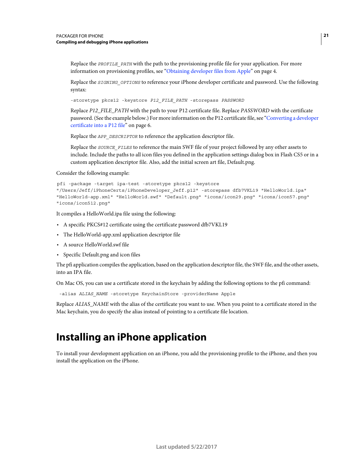Replace the *PROFILE\_PATH* with the path to the provisioning profile file for your application. For more information on provisioning profiles, see ["Obtaining developer files from Apple" on page](#page-6-2) 4.

Replace the *SIGNING\_OPTIONS* to reference your iPhone developer certificate and password. Use the following syntax:

-storetype pkcs12 -keystore *P12\_FILE\_PATH* -storepass *PASSWORD*

Replace *P12\_FILE\_PATH* with the path to your P12 certificate file. Replace *PASSWORD* with the certificate password. (See the example below.) For more information on the P12 certificate file, see ["Converting a developer](#page-8-1)  [certificate into a P12 file" on page](#page-8-1) 6.

Replace the *APP\_DESCRIPTOR* to reference the application descriptor file.

Replace the *SOURCE\_FILES* to reference the main SWF file of your project followed by any other assets to include. Include the paths to all icon files you defined in the application settings dialog box in Flash CS5 or in a custom application descriptor file. Also, add the initial screen art file, Default.png.

Consider the following example:

```
pfi -package -target ipa-test -storetype pkcs12 -keystore 
"/Users/Jeff/iPhoneCerts/iPhoneDeveloper_Jeff.p12" -storepass dfb7VKL19 "HelloWorld.ipa" 
"HelloWorld-app.xml" "HelloWorld.swf" "Default.png" "icons/icon29.png" "icons/icon57.png" 
"icons/icon512.png"
```
It compiles a HelloWorld.ipa file using the following:

- A specific PKCS#12 certificate using the certificate password dfb7VKL19
- The HelloWorld-app.xml application descriptor file
- A source HelloWorld.swf file
- Specific Default.png and icon files

The pfi application compiles the application, based on the application descriptor file, the SWF file, and the other assets, into an IPA file.

On Mac OS, you can use a certificate stored in the keychain by adding the following options to the pfi command:

-alias *ALIAS\_NAME* -storetype KeychainStore -providerName Apple

Replace *ALIAS* NAME with the alias of the certificate you want to use. When you point to a certificate stored in the Mac keychain, you do specify the alias instead of pointing to a certificate file location.

### <span id="page-23-1"></span><span id="page-23-0"></span>**Installing an iPhone application**

To install your development application on an iPhone, you add the provisioning profile to the iPhone, and then you install the application on the iPhone.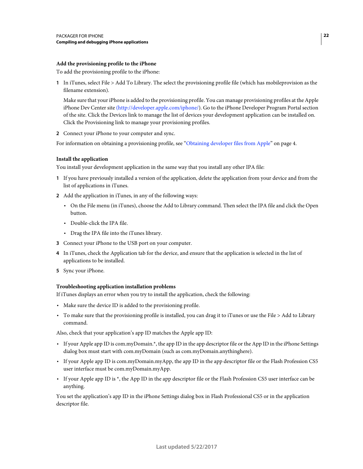#### **Add the provisioning profile to the iPhone**

To add the provisioning profile to the iPhone:

**1** In iTunes, select File > Add To Library. The select the provisioning profile file (which has mobileprovision as the filename extension).

Make sure that your iPhone is added to the provisioning profile. You can manage provisioning profiles at the Apple iPhone Dev Center site [\(http://developer.apple.com/iphone/](http://developer.apple.com/iphone/)). Go to the iPhone Developer Program Portal section of the site. Click the Devices link to manage the list of devices your development application can be installed on. Click the Provisioning link to manage your provisioning profiles.

**2** Connect your iPhone to your computer and sync.

For information on obtaining a provisioning profile, see ["Obtaining developer files from Apple" on page](#page-6-2) 4.

#### **Install the application**

You install your development application in the same way that you install any other IPA file:

- **1** If you have previously installed a version of the application, delete the application from your device and from the list of applications in iTunes.
- **2** Add the application in iTunes, in any of the following ways:
	- On the File menu (in iTunes), choose the Add to Library command. Then select the IPA file and click the Open button.
	- Double-click the IPA file.
	- Drag the IPA file into the iTunes library.
- **3** Connect your iPhone to the USB port on your computer.
- **4** In iTunes, check the Application tab for the device, and ensure that the application is selected in the list of applications to be installed.
- **5** Sync your iPhone.

#### **Troubleshooting application installation problems**

If iTunes displays an error when you try to install the application, check the following:

- Make sure the device ID is added to the provisioning profile.
- To make sure that the provisioning profile is installed, you can drag it to iTunes or use the File > Add to Library command.

Also, check that your application's app ID matches the Apple app ID:

- If your Apple app ID is com.myDomain.\*, the app ID in the app descriptor file or the App ID in the iPhone Settings dialog box must start with com.myDomain (such as com.myDomain.anythinghere).
- If your Apple app ID is com.myDomain.myApp, the app ID in the app descriptor file or the Flash Profession CS5 user interface must be com.myDomain.myApp.
- If your Apple app ID is \*, the App ID in the app descriptor file or the Flash Profession CS5 user interface can be anything.

You set the application's app ID in the iPhone Settings dialog box in Flash Professional CS5 or in the application descriptor file.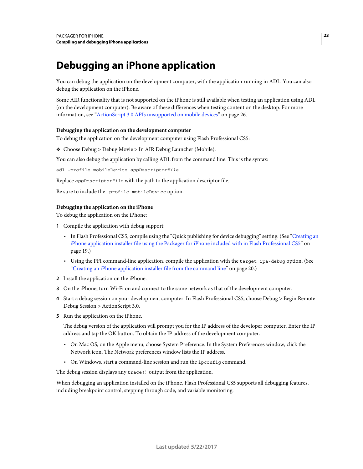# <span id="page-25-1"></span><span id="page-25-0"></span>**Debugging an iPhone application**

You can debug the application on the development computer, with the application running in ADL. You can also debug the application on the iPhone.

Some AIR functionality that is not supported on the iPhone is still available when testing an application using ADL (on the development computer). Be aware of these differences when testing content on the desktop. For more information, see ["ActionScript 3.0 APIs unsupported on mobile devices" on page](#page-28-3) 26.

#### **Debugging the application on the development computer**

To debug the application on the development computer using Flash Professional CS5:

❖ Choose Debug > Debug Movie > In AIR Debug Launcher (Mobile).

You can also debug the application by calling ADL from the command line. This is the syntax:

adl –profile mobileDevice *appDescriptorFile*

Replace *appDescriptorFile* with the path to the application descriptor file.

Be sure to include the -profile mobileDevice option.

#### **Debugging the application on the iPhone**

To debug the application on the iPhone:

- **1** Compile the application with debug support:
	- In Flash Professional CS5, compile using the "Quick publishing for device debugging" setting. (See ["Creating an](#page-21-2)  [iPhone application installer file using the Packager for iPhone included with in Flash Professional CS5" on](#page-21-2)  [page](#page-21-2) 19.)
	- Using the PFI command-line application, compile the application with the target ipa-debug option. (See ["Creating an iPhone application installer file from the command line" on page](#page-22-0) 20.)
- **2** Install the application on the iPhone.
- **3** On the iPhone, turn Wi-Fi on and connect to the same network as that of the development computer.
- **4** Start a debug session on your development computer. In Flash Professional CS5, choose Debug > Begin Remote Debug Session > ActionScript 3.0.
- **5** Run the application on the iPhone.

The debug version of the application will prompt you for the IP address of the developer computer. Enter the IP address and tap the OK button. To obtain the IP address of the development computer.

- On Mac OS, on the Apple menu, choose System Preference. In the System Preferences window, click the Network icon. The Network preferences window lists the IP address.
- On Windows, start a command-line session and run the ipconfig command.

The debug session displays any trace () output from the application.

When debugging an application installed on the iPhone, Flash Professional CS5 supports all debugging features, including breakpoint control, stepping through code, and variable monitoring.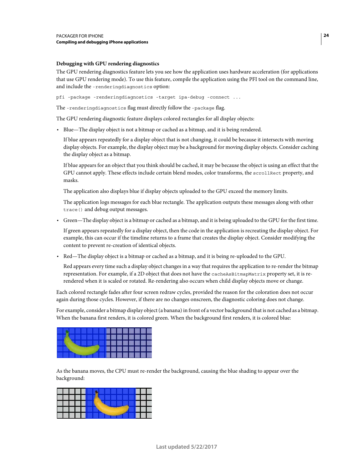#### **Debugging with GPU rendering diagnostics**

The GPU rendering diagnostics feature lets you see how the application uses hardware acceleration (for applications that use GPU rendering mode). To use this feature, compile the application using the PFI tool on the command line, and include the -renderingdiagnostics option:

pfi -package -renderingdiagnostics -target ipa-debug -connect ...

The -renderingdiagnostics flag must directly follow the -package flag.

The GPU rendering diagnostic feature displays colored rectangles for all display objects:

• Blue—The display object is not a bitmap or cached as a bitmap, and it is being rendered.

If blue appears repeatedly for a display object that is not changing, it could be because it intersects with moving display objects. For example, the display object may be a background for moving display objects. Consider caching the display object as a bitmap.

If blue appears for an object that you think should be cached, it may be because the object is using an effect that the GPU cannot apply. These effects include certain blend modes, color transforms, the scrollRect property, and masks.

The application also displays blue if display objects uploaded to the GPU exceed the memory limits.

The application logs messages for each blue rectangle. The application outputs these messages along with other trace() and debug output messages.

• Green—The display object is a bitmap or cached as a bitmap, and it is being uploaded to the GPU for the first time.

If green appears repeatedly for a display object, then the code in the application is recreating the display object. For example, this can occur if the timeline returns to a frame that creates the display object. Consider modifying the content to prevent re-creation of identical objects.

• Red—The display object is a bitmap or cached as a bitmap, and it is being re-uploaded to the GPU.

Red appears every time such a display object changes in a way that requires the application to re-render the bitmap representation. For example, if a 2D object that does not have the cacheAsBitmapMatrix property set, it is rerendered when it is scaled or rotated. Re-rendering also occurs when child display objects move or change.

Each colored rectangle fades after four screen redraw cycles, provided the reason for the coloration does not occur again during those cycles. However, if there are no changes onscreen, the diagnostic coloring does not change.

For example, consider a bitmap display object (a banana) in front of a vector background that is not cached as a bitmap. When the banana first renders, it is colored green. When the background first renders, it is colored blue:



As the banana moves, the CPU must re-render the background, causing the blue shading to appear over the background:

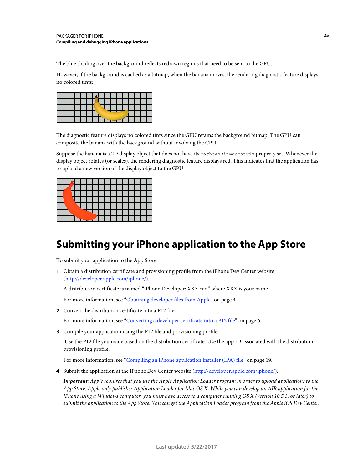The blue shading over the background reflects redrawn regions that need to be sent to the GPU.

However, if the background is cached as a bitmap, when the banana moves, the rendering diagnostic feature displays no colored tints:

The diagnostic feature displays no colored tints since the GPU retains the background bitmap. The GPU can composite the banana with the background without involving the CPU.

Suppose the banana is a 2D display object that does not have its cacheAsBitmapMatrix property set. Whenever the display object rotates (or scales), the rendering diagnostic feature displays red. This indicates that the application has to upload a new version of the display object to the GPU:

## <span id="page-27-1"></span><span id="page-27-0"></span>**Submitting your iPhone application to the App Store**

To submit your application to the App Store:

**1** Obtain a distribution certificate and provisioning profile from the iPhone Dev Center website [\(http://developer.apple.com/iphone/](http://developer.apple.com/iphone/)).

A distribution certificate is named "iPhone Developer: XXX.cer," where XXX is your name.

For more information, see ["Obtaining developer files from Apple" on page](#page-6-2) 4.

**2** Convert the distribution certificate into a P12 file.

For more information, see ["Converting a developer certificate into a P12 file" on page](#page-8-1) 6.

**3** Compile your application using the P12 file and provisioning profile.

 Use the P12 file you made based on the distribution certificate. Use the app ID associated with the distribution provisioning profile.

For more information, see ["Compiling an iPhone application installer \(IPA\) file" on page](#page-21-0) 19.

**4** Submit the application at the iPhone Dev Center website ([http://developer.apple.com/iphone/\)](http://developer.apple.com/iphone/).

*Important: Apple requires that you use the Apple Application Loader program in order to upload applications to the App Store. Apple only publishes Application Loader for Mac OS X. While you can develop an AIR application for the iPhone using a Windows computer, you must have access to a computer running OS X (version 10.5.3, or later) to submit the application to the App Store. You can get the Application Loader program from the Apple iOS Dev Center.*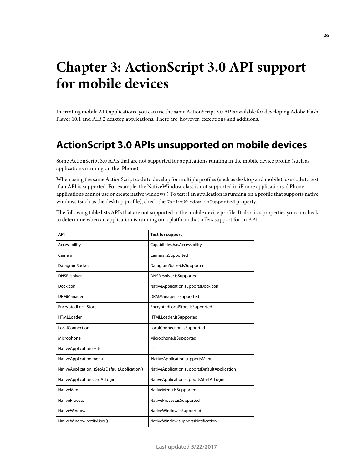# <span id="page-28-2"></span><span id="page-28-0"></span>**Chapter 3: ActionScript 3.0 API support for mobile devices**

In creating mobile AIR applications, you can use the same ActionScript 3.0 APIs available for developing Adobe Flash Player 10.1 and AIR 2 desktop applications. There are, however, exceptions and additions.

### <span id="page-28-3"></span><span id="page-28-1"></span>**ActionScript 3.0 APIs unsupported on mobile devices**

Some ActionScript 3.0 APIs that are not supported for applications running in the mobile device profile (such as applications running on the iPhone).

When using the same ActionScript code to develop for multiple profiles (such as desktop and mobile), use code to test if an API is supported. For example, the NativeWindow class is not supported in iPhone applications. (iPhone applications cannot use or create native windows.) To test if an application is running on a profile that supports native windows (such as the desktop profile), check the NativeWindow.isSupported property.

The following table lists APIs that are not supported in the mobile device profile. It also lists properties you can check to determine when an application is running on a platform that offers support for an API.

| <b>API</b>                                    | <b>Test for support</b>                      |
|-----------------------------------------------|----------------------------------------------|
| Accessibility                                 | Capabilities.hasAccessibility                |
| Camera                                        | Camera.isSupported                           |
| DatagramSocket                                | DatagramSocket.isSupported                   |
| <b>DNSResolver</b>                            | DNSResolver.isSupported                      |
| DockIcon                                      | NativeApplication.supportsDockIcon           |
| <b>DRMManager</b>                             | DRMManager.isSupported                       |
| EncryptedLocalStore                           | EncryptedLocalStore.isSupported              |
| <b>HTMLLoader</b>                             | HTMLLoader.isSupported                       |
| LocalConnection                               | LocalConnection.isSupported                  |
| Microphone                                    | Microphone.isSupported                       |
| NativeApplication.exit()                      |                                              |
| NativeApplication.menu                        | NativeApplication.supportsMenu               |
| NativeApplication.isSetAsDefaultApplication() | NativeApplication.supportsDefaultApplication |
| NativeApplication.startAtLogin                | NativeApplication.supportsStartAtLogin       |
| <b>NativeMenu</b>                             | NativeMenu.isSupported                       |
| <b>NativeProcess</b>                          | NativeProcess.isSupported                    |
| <b>NativeWindow</b>                           | NativeWindow.isSupported                     |
| NativeWindow.notifyUser()                     | NativeWindow.supportsNotification            |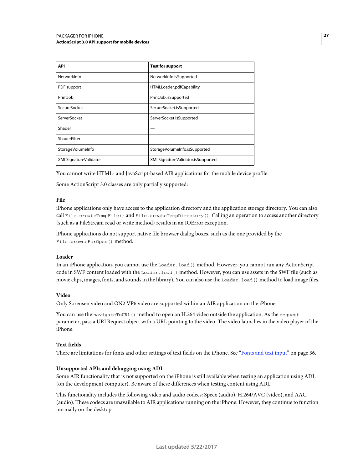| <b>API</b>            | <b>Test for support</b>           |
|-----------------------|-----------------------------------|
| NetworkInfo           | NetworkInfo.isSupported           |
| PDF support           | HTMLLoader.pdfCapability          |
| PrintJob              | PrintJob.isSupported              |
| SecureSocket          | SecureSocket.isSupported          |
| ServerSocket          | ServerSocket.isSupported          |
| Shader                |                                   |
| ShaderFilter          |                                   |
| StorageVolumeInfo     | StorageVolumeInfo.isSupported     |
| XMLSignatureValidator | XMLSignatureValidator.isSupported |

You cannot write HTML- and JavaScript-based AIR applications for the mobile device profile.

Some ActionScript 3.0 classes are only partially supported:

#### **File**

iPhone applications only have access to the application directory and the application storage directory. You can also call File.createTempFile() and File.createTempDirectory(). Calling an operation to access another directory (such as a FileStream read or write method) results in an IOError exception.

iPhone applications do not support native file browser dialog boxes, such as the one provided by the File.browseForOpen() method.

#### **Loader**

In an iPhone application, you cannot use the Loader. load() method. However, you cannot run any ActionScript code in SWF content loaded with the Loader.load() method. However, you can use assets in the SWF file (such as movie clips, images, fonts, and sounds in the library). You can also use the Loader. load() method to load image files.

#### **Video**

Only Sorensen video and ON2 VP6 video are supported within an AIR application on the iPhone.

You can use the navigateToURL() method to open an H.264 video outside the application. As the request parameter, pass a URLRequest object with a URL pointing to the video. The video launches in the video player of the iPhone.

#### **Text fields**

There are limitations for fonts and other settings of text fields on the iPhone. See ["Fonts and text input" on page](#page-38-2) 36.

#### **Unsupported APIs and debugging using ADL**

Some AIR functionality that is not supported on the iPhone is still available when testing an application using ADL (on the development computer). Be aware of these differences when testing content using ADL.

This functionality includes the following video and audio codecs: Speex (audio), H.264/AVC (video), and AAC (audio). These codecs are unavailable to AIR applications running on the iPhone. However, they continue to function normally on the desktop.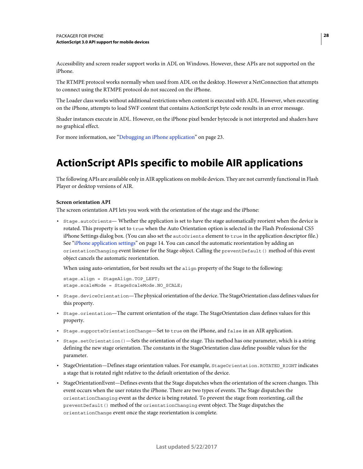Accessibility and screen reader support works in ADL on Windows. However, these APIs are not supported on the iPhone.

The RTMPE protocol works normally when used from ADL on the desktop. However a NetConnection that attempts to connect using the RTMPE protocol do not succeed on the iPhone.

The Loader class works without additional restrictions when content is executed with ADL. However, when executing on the iPhone, attempts to load SWF content that contains ActionScript byte code results in an error message.

Shader instances execute in ADL. However, on the iPhone pixel bender bytecode is not interpreted and shaders have no graphical effect.

For more information, see ["Debugging an iPhone application" on page](#page-25-1) 23.

# <span id="page-30-1"></span><span id="page-30-0"></span>**ActionScript APIs specific to mobile AIR applications**

The following APIs are available only in AIR applications on mobile devices. They are not currently functional in Flash Player or desktop versions of AIR.

#### **Screen orientation API**

The screen orientation API lets you work with the orientation of the stage and the iPhone:

• Stage.autoOrients— Whether the application is set to have the stage automatically reorient when the device is rotated. This property is set to true when the Auto Orientation option is selected in the Flash Professional CS5 iPhone Settings dialog box. (You can also set the autoOrients element to true in the application descriptor file.) See ["iPhone application settings" on page](#page-16-2) 14. You can cancel the automatic reorientation by adding an orientationChanging event listener for the Stage object. Calling the preventDefault() method of this event object cancels the automatic reorientation.

When using auto-orientation, for best results set the align property of the Stage to the following:

```
stage.align = StageAlign.TOP LEFT;
stage.scaleMode = StageScaleMode.NO_SCALE;
```
- Stage.deviceOrientation—The physical orientation of the device. The StageOrientation class defines values for this property.
- Stage.orientation—The current orientation of the stage. The StageOrientation class defines values for this property.
- Stage.supportsOrientationChange—Set to true on the iPhone, and false in an AIR application.
- Stage.setOrientation()—Sets the orientation of the stage. This method has one parameter, which is a string defining the new stage orientation. The constants in the StageOrientation class define possible values for the parameter.
- StageOrientation—Defines stage orientation values. For example, StageOrientation.ROTATED\_RIGHT indicates a stage that is rotated right relative to the default orientation of the device.
- StageOrientationEvent—Defines events that the Stage dispatches when the orientation of the screen changes. This event occurs when the user rotates the iPhone. There are two types of events. The Stage dispatches the orientationChanging event as the device is being rotated. To prevent the stage from reorienting, call the preventDefault() method of the orientationChanging event object. The Stage dispatches the orientationChange event once the stage reorientation is complete.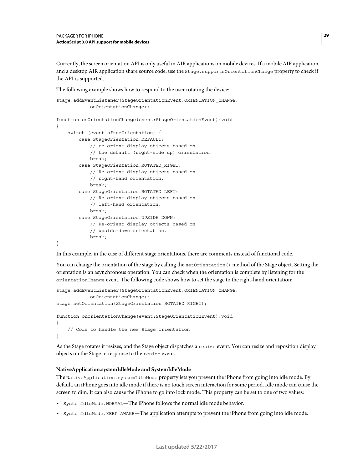Currently, the screen orientation API is only useful in AIR applications on mobile devices. If a mobile AIR application and a desktop AIR application share source code, use the Stage.supportsOrientationChange property to check if the API is supported.

The following example shows how to respond to the user rotating the device:

```
stage.addEventListener(StageOrientationEvent.ORIENTATION_CHANGE, 
            onOrientationChange); 
function onOrientationChange(event:StageOrientationEvent):void 
{ 
   switch (event.afterOrientation) { 
        case StageOrientation.DEFAULT: 
           // re-orient display objects based on 
           // the default (right-side up) orientation. 
           break; 
        case StageOrientation.ROTATED_RIGHT: 
            // Re-orient display objects based on 
            // right-hand orientation. 
           break; 
        case StageOrientation.ROTATED_LEFT: 
           // Re-orient display objects based on 
           // left-hand orientation. 
           break; 
        case StageOrientation.UPSIDE_DOWN: 
           // Re-orient display objects based on 
            // upside-down orientation. 
           break; 
}
```
In this example, in the case of different stage orientations, there are comments instead of functional code.

You can change the orientation of the stage by calling the setOrientation() method of the Stage object. Setting the orientation is an asynchronous operation. You can check when the orientation is complete by listening for the orientationChange event. The following code shows how to set the stage to the right-hand orientation:

```
stage.addEventListener(StageOrientationEvent.ORIENTATION_CHANGE, 
            onOrientationChange); 
stage.setOrientation(StageOrientation.ROTATED_RIGHT); 
function onOrientationChange(event:StageOrientationEvent):void 
{ 
    // Code to handle the new Stage orientation 
}
```
As the Stage rotates it resizes, and the Stage object dispatches a resize event. You can resize and reposition display objects on the Stage in response to the resize event.

#### **NativeApplication.systemIdleMode and SystemIdleMode**

The NativeApplication.systemIdleMode property lets you prevent the iPhone from going into idle mode. By default, an iPhone goes into idle mode if there is no touch screen interaction for some period. Idle mode can cause the screen to dim. It can also cause the iPhone to go into lock mode. This property can be set to one of two values:

- SystemIdleMode.NORMAL—The iPhone follows the normal idle mode behavior.
- SystemIdleMode.KEEP\_AWAKE—The application attempts to prevent the iPhone from going into idle mode.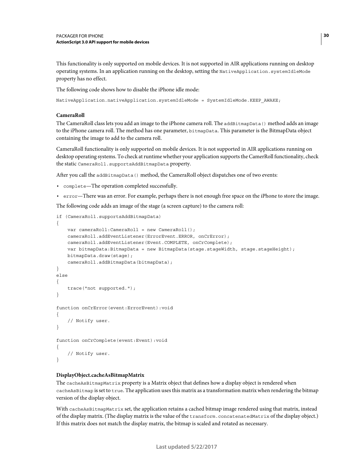This functionality is only supported on mobile devices. It is not supported in AIR applications running on desktop operating systems. In an application running on the desktop, setting the NativeApplication.systemIdleMode property has no effect.

The following code shows how to disable the iPhone idle mode:

```
NativeApplication.nativeApplication.systemIdleMode = SystemIdleMode.KEEP_AWAKE;
```
#### **CameraRoll**

The CameraRoll class lets you add an image to the iPhone camera roll. The addBitmapData() method adds an image to the iPhone camera roll. The method has one parameter, bitmapData. This parameter is the BitmapData object containing the image to add to the camera roll.

CameraRoll functionality is only supported on mobile devices. It is not supported in AIR applications running on desktop operating systems. To check at runtime whether your application supports the CamerRoll functionality, check the static CameraRoll.supportsAddBitmapData property.

After you call the addBitmapData() method, the CameraRoll object dispatches one of two events:

- complete—The operation completed successfully.
- error—There was an error. For example, perhaps there is not enough free space on the iPhone to store the image.

The following code adds an image of the stage (a screen capture) to the camera roll:

```
if (CameraRoll.supportsAddBitmapData) 
{ 
    var cameraRoll:CameraRoll = new CameraRoll(); 
    cameraRoll.addEventListener(ErrorEvent.ERROR, onCrError); 
    cameraRoll.addEventListener(Event.COMPLETE, onCrComplete); 
    var bitmapData:BitmapData = new BitmapData(stage.stageWidth, stage.stageHeight);
   bitmapData.draw(stage); 
    cameraRoll.addBitmapData(bitmapData); 
} 
else 
{ 
    trace("not supported."); 
} 
function onCrError(event:ErrorEvent):void 
{ 
    // Notify user. 
} 
function onCrComplete(event:Event):void 
{ 
    // Notify user. 
}
```
#### **DisplayObject.cacheAsBitmapMatrix**

The cacheAsBitmapMatrix property is a Matrix object that defines how a display object is rendered when cacheAsBitmap is set to true. The application uses this matrix as a transformation matrix when rendering the bitmap version of the display object.

With cacheAsBitmapMatrix set, the application retains a cached bitmap image rendered using that matrix, instead of the display matrix. (The display matrix is the value of the transform.concatenatedMatrix of the display object.) If this matrix does not match the display matrix, the bitmap is scaled and rotated as necessary.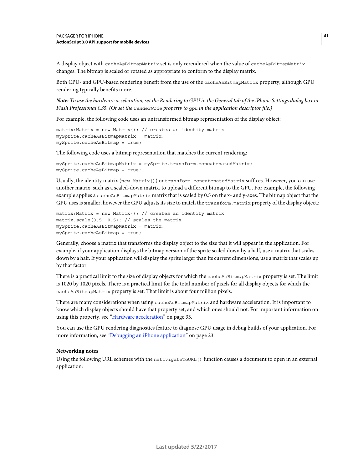A display object with cacheAsBitmapMatrix set is only rerendered when the value of cacheAsBitmapMatrix changes. The bitmap is scaled or rotated as appropriate to conform to the display matrix.

Both CPU- and GPU-based rendering benefit from the use of the cacheAsBitmapMatrix property, although GPU rendering typically benefits more.

*Note: To use the hardware acceleration, set the Rendering to GPU in the General tab of the iPhone Settings dialog box in Flash Professional CS5. (Or set the renderMode property to gpu in the application descriptor file.)*

For example, the following code uses an untransformed bitmap representation of the display object:

```
matrix:Matrix = new Matrix(); // creates an identity matrix
mySprite.cacheAsBitmapMatrix = matrix; 
mySprite.cacheAsBitmap = true;
```
The following code uses a bitmap representation that matches the current rendering:

```
mySprite.cacheAsBitmapMatrix = mySprite.transform.concatenatedMatrix; 
mySprite.cacheAsBitmap = true;
```
Usually, the identity matrix (new Matrix()) or transform.concatenatedMatrix suffices. However, you can use another matrix, such as a scaled-down matrix, to upload a different bitmap to the GPU. For example, the following example applies a cacheAsBitmapMatrix matrix that is scaled by 0.5 on the x- and y-axes. The bitmap object that the GPU uses is smaller, however the GPU adjusts its size to match the transform.matrix property of the display object.:

```
matrix:Matrix = new Matrix(); // creates an identity matrix
matrix.scale(0.5, 0.5); // scales the matrix 
mySprite.cacheAsBitmapMatrix = matrix; 
mySprite.cacheAsBitmap = true;
```
Generally, choose a matrix that transforms the display object to the size that it will appear in the application. For example, if your application displays the bitmap version of the sprite scaled down by a half, use a matrix that scales down by a half. If your application will display the sprite larger than its current dimensions, use a matrix that scales up by that factor.

There is a practical limit to the size of display objects for which the cacheAsBitmapMatrix property is set. The limit is 1020 by 1020 pixels. There is a practical limit for the total number of pixels for all display objects for which the cacheAsBitmapMatrix property is set. That limit is about four million pixels.

There are many considerations when using cacheAsBitmapMatrix and hardware acceleration. It is important to know which display objects should have that property set, and which ones should not. For important information on using this property, see ["Hardware acceleration" on page](#page-35-3) 33.

You can use the GPU rendering diagnostics feature to diagnose GPU usage in debug builds of your application. For more information, see ["Debugging an iPhone application" on page](#page-25-1) 23.

#### **Networking notes**

Using the following URL schemes with the nativigateToURL() function causes a document to open in an external application: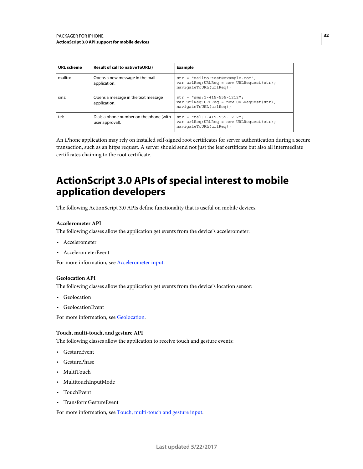| <b>URL</b> scheme | <b>Result of call to native ToURL()</b>                    | <b>Example</b>                                                                                               |  |  |  |  |  |
|-------------------|------------------------------------------------------------|--------------------------------------------------------------------------------------------------------------|--|--|--|--|--|
| mailto:           | Opens a new message in the mail<br>application.            | $str = "mailto: test@example.com";$<br>var urlReq: URLReq = new URLRequest (str) ;<br>navigateToURL(urlReq); |  |  |  |  |  |
| sms:              | Opens a message in the text message<br>application.        | $str = "sms:1-415-555-1212";$<br>var urlReq: URLReq = new URLRequest (str) ;<br>navigateToURL(urlReq);       |  |  |  |  |  |
| tel:              | Dials a phone number on the phone (with<br>user approval). | $str = "tel:1-415-555-1212";$<br>var urlReq: URLReq = new URLRequest (str) ;<br>navigateToURL(urlReq);       |  |  |  |  |  |

An iPhone application may rely on installed self-signed root certificates for server authentication during a secure transaction, such as an https request. A server should send not just the leaf certificate but also all intermediate certificates chaining to the root certificate.

## <span id="page-34-0"></span>**ActionScript 3.0 APIs of special interest to mobile application developers**

The following ActionScript 3.0 APIs define functionality that is useful on mobile devices.

#### **Accelerometer API**

The following classes allow the application get events from the device's accelerometer:

- Accelerometer
- AccelerometerEvent

For more information, see [Accelerometer input.](http://help.adobe.com/en_US/as3/dev/WSb2ba3b1aad8a27b036ae443e1221e57e23b-8000.html)

#### **Geolocation API**

The following classes allow the application get events from the device's location sensor:

- Geolocation
- GeolocationEvent

For more information, see [Geolocation.](http://help.adobe.com/en_US/as3/dev/WSd75bf4610ec9e22f54e869521221494cee2-8000.html)

#### **Touch, multi-touch, and gesture API**

The following classes allow the application to receive touch and gesture events:

- GestureEvent
- GesturePhase
- MultiTouch
- MultitouchInputMode
- TouchEvent
- TransformGestureEvent

For more information, see [Touch, multi-touch and gesture input](http://help.adobe.com/en_US/as3/dev/WSb2ba3b1aad8a27b0-6ffb37601221e58cc29-8000.html).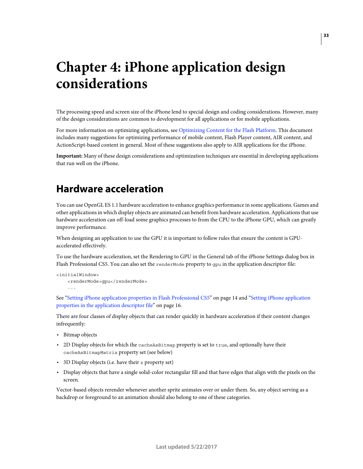# <span id="page-35-2"></span><span id="page-35-0"></span>**Chapter 4: iPhone application design considerations**

The processing speed and screen size of the iPhone lend to special design and coding considerations. However, many of the design considerations are common to development for all applications or for mobile applications.

For more information on optimizing applications, see [Optimizing Content for the Flash Platform](http://help.adobe.com/en_US/as3/mobile/index.html). This document includes many suggestions for optimizing performance of mobile content, Flash Player content, AIR content, and ActionScript-based content in general. Most of these suggestions also apply to AIR applications for the iPhone.

**Important:** Many of these design considerations and optimization techniques are essential in developing applications that run well on the iPhone.

### <span id="page-35-3"></span><span id="page-35-1"></span>**Hardware acceleration**

You can use OpenGL ES 1.1 hardware acceleration to enhance graphics performance in some applications. Games and other applications in which display objects are animated can benefit from hardware acceleration. Applications that use hardware acceleration can off-load some graphics processes to from the CPU to the iPhone GPU, which can greatly improve performance.

When designing an application to use the GPU it is important to follow rules that ensure the content is GPUaccelerated effectively.

To use the hardware acceleration, set the Rendering to GPU in the General tab of the iPhone Settings dialog box in Flash Professional CS5. You can also set the renderMode property to gpu in the application descriptor file:

```
<initialWindow> 
    <renderMode>qpu</renderMode>
    ...
```
See ["Setting iPhone application properties in Flash Professional CS5" on page](#page-16-1) 14 and ["Setting iPhone application](#page-18-0)  [properties in the application descriptor file" on page](#page-18-0) 16.

There are four classes of display objects that can render quickly in hardware acceleration if their content changes infrequently:

- Bitmap objects
- 2D Display objects for which the cacheAsBitmap property is set to true, and optionally have their cacheAsBitmapMatrix property set (see below)
- 3D Display objects (i.e. have their z property set)
- Display objects that have a single solid-color rectangular fill and that have edges that align with the pixels on the screen.

Vector-based objects rerender whenever another sprite animates over or under them. So, any object serving as a backdrop or foreground to an animation should also belong to one of these categories.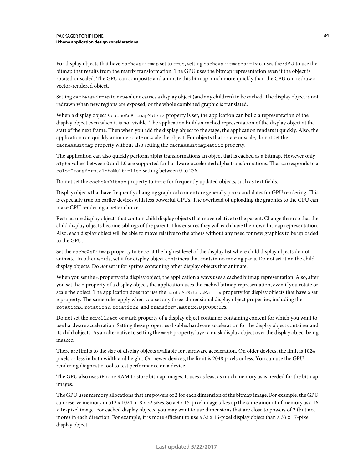For display objects that have cacheAsBitmap set to true, setting cacheAsBitmapMatrix causes the GPU to use the bitmap that results from the matrix transformation. The GPU uses the bitmap representation even if the object is rotated or scaled. The GPU can composite and animate this bitmap much more quickly than the CPU can redraw a vector-rendered object.

Setting cacheAsBitmap to true alone causes a display object (and any children) to be cached. The display object is not redrawn when new regions are exposed, or the whole combined graphic is translated.

When a display object's cacheAsBitmapMatrix property is set, the application can build a representation of the display object even when it is not visible. The application builds a cached representation of the display object at the start of the next frame. Then when you add the display object to the stage, the application renders it quickly. Also, the application can quickly animate rotate or scale the object. For objects that rotate or scale, do not set the cacheAsBitmap property without also setting the cacheAsBitmapMatrix property.

The application can also quickly perform alpha transformations an object that is cached as a bitmap. However only alpha values between 0 and 1.0 are supported for hardware-accelerated alpha transformations. That corresponds to a colorTransform.alphaMultiplier setting between 0 to 256.

Do not set the cacheAsBitmap property to true for frequently updated objects, such as text fields.

Display objects that have frequently changing graphical content are generally poor candidates for GPU rendering. This is especially true on earlier devices with less powerful GPUs. The overhead of uploading the graphics to the GPU can make CPU rendering a better choice.

Restructure display objects that contain child display objects that move relative to the parent. Change them so that the child display objects become siblings of the parent. This ensures they will each have their own bitmap representation. Also, each display object will be able to move relative to the others without any need for new graphics to be uploaded to the GPU.

Set the cacheAsBitmap property to true at the highest level of the display list where child display objects do not animate. In other words, set it for display object containers that contain no moving parts. Do not set it on the child display objects. Do *not* set it for sprites containing other display objects that animate.

When you set the z property of a display object, the application always uses a cached bitmap representation. Also, after you set the z property of a display object, the application uses the cached bitmap representation, even if you rotate or scale the object. The application does not use the cacheAsBitmapMatrix property for display objects that have a set z property. The same rules apply when you set any three-dimensional display object properties, including the rotationX, rotationY, rotationZ, and transform.matrix3D properties.

Do not set the scrollRect or mask property of a display object container containing content for which you want to use hardware acceleration. Setting these properties disables hardware acceleration for the display object container and its child objects. As an alternative to setting the mask property, layer a mask display object over the display object being masked.

There are limits to the size of display objects available for hardware acceleration. On older devices, the limit is 1024 pixels or less in both width and height. On newer devices, the limit is 2048 pixels or less. You can use the GPU rendering diagnostic tool to test performance on a device.

The GPU also uses iPhone RAM to store bitmap images. It uses as least as much memory as is needed for the bitmap images.

The GPU uses memory allocations that are powers of 2 for each dimension of the bitmap image. For example, the GPU can reserve memory in 512 x 1024 or 8 x 32 sizes. So a 9 x 15-pixel image takes up the same amount of memory as a 16 x 16-pixel image. For cached display objects, you may want to use dimensions that are close to powers of 2 (but not more) in each direction. For example, it is more efficient to use a 32 x 16-pixel display object than a 33 x 17-pixel display object.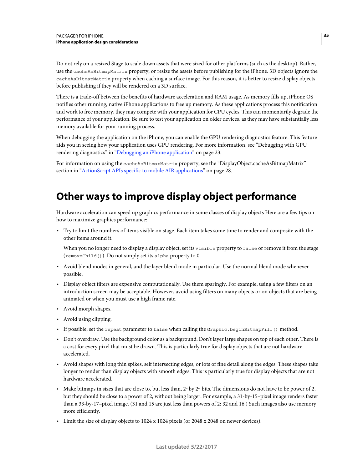Do not rely on a resized Stage to scale down assets that were sized for other platforms (such as the desktop). Rather, use the cacheAsBitmapMatrix property, or resize the assets before publishing for the iPhone. 3D objects ignore the cacheAsBitmapMatrix property when caching a surface image. For this reason, it is better to resize display objects before publishing if they will be rendered on a 3D surface.

There is a trade-off between the benefits of hardware acceleration and RAM usage. As memory fills up, iPhone OS notifies other running, native iPhone applications to free up memory. As these applications process this notification and work to free memory, they may compete with your application for CPU cycles. This can momentarily degrade the performance of your application. Be sure to test your application on older devices, as they may have substantially less memory available for your running process.

When debugging the application on the iPhone, you can enable the GPU rendering diagnostics feature. This feature aids you in seeing how your application uses GPU rendering. For more information, see "Debugging with GPU rendering diagnostics" in ["Debugging an iPhone application" on page](#page-25-1) 23.

For information on using the cacheAsBitmapMatrix property, see the "DisplayObject.cacheAsBitmapMatrix" section in ["ActionScript APIs specific to mobile AIR applications" on page](#page-30-1) 28.

## <span id="page-37-0"></span>**Other ways to improve display object performance**

Hardware acceleration can speed up graphics performance in some classes of display objects Here are a few tips on how to maximize graphics performance:

• Try to limit the numbers of items visible on stage. Each item takes some time to render and composite with the other items around it.

When you no longer need to display a display object, set its visible property to false or remove it from the stage (removeChild()). Do not simply set its alpha property to 0.

- Avoid blend modes in general, and the layer blend mode in particular. Use the normal blend mode whenever possible.
- Display object filters are expensive computationally. Use them sparingly. For example, using a few filters on an introduction screen may be acceptable. However, avoid using filters on many objects or on objects that are being animated or when you must use a high frame rate.
- Avoid morph shapes.
- Avoid using clipping.
- If possible, set the repeat parameter to false when calling the Graphic.beginBitmapFill() method.
- Don't overdraw. Use the background color as a background. Don't layer large shapes on top of each other. There is a cost for every pixel that must be drawn. This is particularly true for display objects that are not hardware accelerated.
- Avoid shapes with long thin spikes, self intersecting edges, or lots of fine detail along the edges. These shapes take longer to render than display objects with smooth edges. This is particularly true for display objects that are not hardware accelerated.
- Make bitmaps in sizes that are close to, but less than,  $2^n$  by  $2^m$  bits. The dimensions do not have to be power of 2, but they should be close to a power of 2, without being larger. For example, a 31-by-15–pixel image renders faster than a 33-by-17–pixel image. (31 and 15 are just less than powers of 2: 32 and 16.) Such images also use memory more efficiently.
- Limit the size of display objects to 1024 x 1024 pixels (or 2048 x 2048 on newer devices).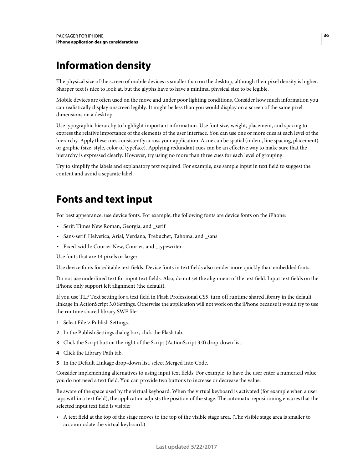# <span id="page-38-0"></span>**Information density**

The physical size of the screen of mobile devices is smaller than on the desktop, although their pixel density is higher. Sharper text is nice to look at, but the glyphs have to have a minimal physical size to be legible.

Mobile devices are often used on the move and under poor lighting conditions. Consider how much information you can realistically display onscreen legibly. It might be less than you would display on a screen of the same pixel dimensions on a desktop.

Use typographic hierarchy to highlight important information. Use font size, weight, placement, and spacing to express the relative importance of the elements of the user interface. You can use one or more cues at each level of the hierarchy. Apply these cues consistently across your application. A cue can be spatial (indent, line spacing, placement) or graphic (size, style, color of typeface). Applying redundant cues can be an effective way to make sure that the hierarchy is expressed clearly. However, try using no more than three cues for each level of grouping.

Try to simplify the labels and explanatory text required. For example, use sample input in text field to suggest the content and avoid a separate label.

# <span id="page-38-2"></span><span id="page-38-1"></span>**Fonts and text input**

For best appearance, use device fonts. For example, the following fonts are device fonts on the iPhone:

- Serif: Times New Roman, Georgia, and serif
- Sans-serif: Helvetica, Arial, Verdana, Trebuchet, Tahoma, and \_sans
- Fixed-width: Courier New, Courier, and \_typewriter

Use fonts that are 14 pixels or larger.

Use device fonts for editable text fields. Device fonts in text fields also render more quickly than embedded fonts.

Do not use underlined text for input text fields. Also, do not set the alignment of the text field. Input text fields on the iPhone only support left alignment (the default).

If you use TLF Text setting for a text field in Flash Professional CS5, turn off runtime shared library in the default linkage in ActionScript 3.0 Settings. Otherwise the application will not work on the iPhone because it would try to use the runtime shared library SWF file:

- **1** Select File > Publish Settings.
- **2** In the Publish Settings dialog box, click the Flash tab.
- **3** Click the Script button the right of the Script (ActionScript 3.0) drop-down list.
- **4** Click the Library Path tab.
- **5** In the Default Linkage drop-down list, select Merged Into Code.

Consider implementing alternatives to using input text fields. For example, to have the user enter a numerical value, you do not need a text field. You can provide two buttons to increase or decrease the value.

Be aware of the space used by the virtual keyboard. When the virtual keyboard is activated (for example when a user taps within a text field), the application adjusts the position of the stage. The automatic repositioning ensures that the selected input text field is visible:

• A text field at the top of the stage moves to the top of the visible stage area. (The visible stage area is smaller to accommodate the virtual keyboard.)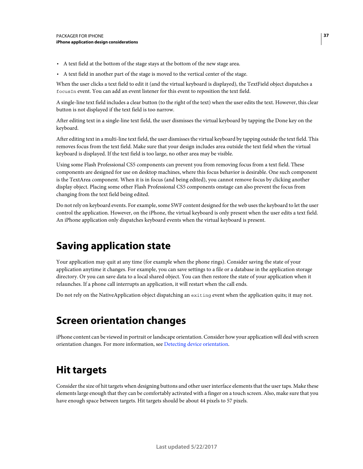- A text field at the bottom of the stage stays at the bottom of the new stage area.
- A text field in another part of the stage is moved to the vertical center of the stage.

When the user clicks a text field to edit it (and the virtual keyboard is displayed), the TextField object dispatches a focusIn event. You can add an event listener for this event to reposition the text field.

A single-line text field includes a clear button (to the right of the text) when the user edits the text. However, this clear button is not displayed if the text field is too narrow.

After editing text in a single-line text field, the user dismisses the virtual keyboard by tapping the Done key on the keyboard.

After editing text in a multi-line text field, the user dismisses the virtual keyboard by tapping outside the text field. This removes focus from the text field. Make sure that your design includes area outside the text field when the virtual keyboard is displayed. If the text field is too large, no other area may be visible.

Using some Flash Professional CS5 components can prevent you from removing focus from a text field. These components are designed for use on desktop machines, where this focus behavior is desirable. One such component is the TextArea component. When it is in focus (and being edited), you cannot remove focus by clicking another display object. Placing some other Flash Professional CS5 components onstage can also prevent the focus from changing from the text field being edited.

Do not rely on keyboard events. For example, some SWF content designed for the web uses the keyboard to let the user control the application. However, on the iPhone, the virtual keyboard is only present when the user edits a text field. An iPhone application only dispatches keyboard events when the virtual keyboard is present.

## <span id="page-39-0"></span>**Saving application state**

Your application may quit at any time (for example when the phone rings). Consider saving the state of your application anytime it changes. For example, you can save settings to a file or a database in the application storage directory. Or you can save data to a local shared object. You can then restore the state of your application when it relaunches. If a phone call interrupts an application, it will restart when the call ends.

Do not rely on the NativeApplication object dispatching an exiting event when the application quits; it may not.

## <span id="page-39-1"></span>**Screen orientation changes**

iPhone content can be viewed in portrait or landscape orientation. Consider how your application will deal with screen orientation changes. For more information, see [Detecting device orientation](http://help.adobe.com/en_US/as3/dev/WS5b3ccc516d4fbf351e63e3d118676a47e0-8000.html#WS789ea67d3e73a8b23323219d123c9666630-7ffe).

## <span id="page-39-2"></span>**Hit targets**

Consider the size of hit targets when designing buttons and other user interface elements that the user taps. Make these elements large enough that they can be comfortably activated with a finger on a touch screen. Also, make sure that you have enough space between targets. Hit targets should be about 44 pixels to 57 pixels.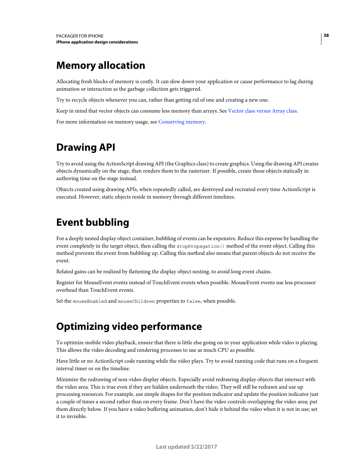# <span id="page-40-0"></span>**Memory allocation**

Allocating fresh blocks of memory is costly. It can slow down your application or cause performance to lag during animation or interaction as the garbage collection gets triggered.

Try to recycle objects whenever you can, rather than getting rid of one and creating a new one.

Keep in mind that vector objects can consume less memory than arrays. See [Vector class versus Array class.](http://help.adobe.com/en_US/as3/mobile/WS4bebcd66a74275c3a0f5f19124318fc87b-7fff.html)

For more information on memory usage, see [Conserving memory.](http://help.adobe.com/en_US/as3/mobile/WS4bebcd66a74275c333637c44124318c9bf9-8000.html)

# <span id="page-40-1"></span>**Drawing API**

Try to avoid using the ActionScript drawing API (the Graphics class) to create graphics. Using the drawing API creates objects dynamically on the stage, then renders them to the rasterizer. If possible, create those objects statically in authoring time on the stage instead.

Objects created using drawing APIs, when repeatedly called, are destroyed and recreated every time ActionScript is executed. However, static objects reside in memory through different timelines.

# <span id="page-40-2"></span>**Event bubbling**

For a deeply nested display object container, bubbling of events can be expensive. Reduce this expense by handling the event completely in the target object, then calling the stopPropagation() method of the event object. Calling this method prevents the event from bubbling up. Calling this method also means that parent objects do not receive the event.

Related gains can be realized by flattening the display object nesting, to avoid long event chains.

Register for MouseEvent events instead of TouchEvent events when possible. MouseEvent events use less processor overhead than TouchEvent events.

Set the mouseEnabled and mouseChildren properties to false, when possible.

## <span id="page-40-3"></span>**Optimizing video performance**

To optimize mobile video playback, ensure that there is little else going on in your application while video is playing. This allows the video decoding and rendering processes to use as much CPU as possible.

Have little or no ActionScript code running while the video plays. Try to avoid running code that runs on a frequent interval timer or on the timeline.

Minimize the redrawing of non-video display objects. Especially avoid redrawing display objects that intersect with the video area. This is true even if they are hidden underneath the video. They will still be redrawn and use up processing resources. For example, use simple shapes for the position indicator and update the position indicator just a couple of times a second rather than on every frame. Don't have the video controls overlapping the video area; put them directly below. If you have a video buffering animation, don't hide it behind the video when it is not in use; set it to invisible.